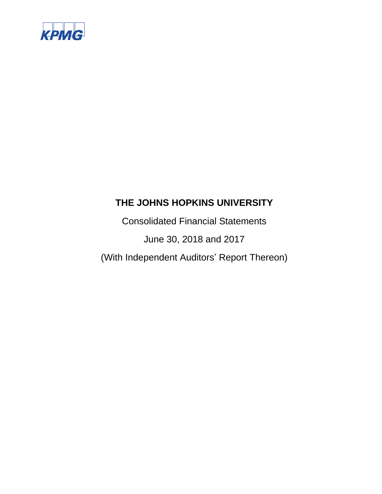

Consolidated Financial Statements June 30, 2018 and 2017 (With Independent Auditors' Report Thereon)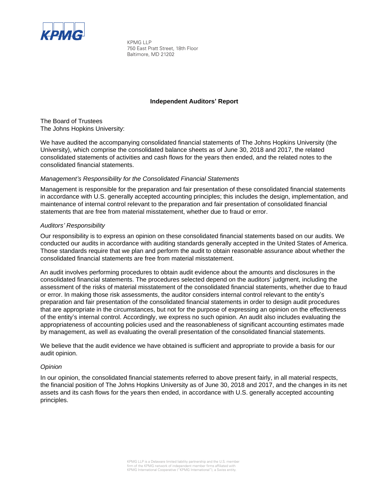

KPMG LLP 750 East Pratt Street, 18th Floor Baltimore, MD 21202

#### **Independent Auditors' Report**

The Board of Trustees The Johns Hopkins University:

We have audited the accompanying consolidated financial statements of The Johns Hopkins University (the University), which comprise the consolidated balance sheets as of June 30, 2018 and 2017, the related consolidated statements of activities and cash flows for the years then ended, and the related notes to the consolidated financial statements.

## *Management's Responsibility for the Consolidated Financial Statements*

Management is responsible for the preparation and fair presentation of these consolidated financial statements in accordance with U.S. generally accepted accounting principles; this includes the design, implementation, and maintenance of internal control relevant to the preparation and fair presentation of consolidated financial statements that are free from material misstatement, whether due to fraud or error.

## *Auditors' Responsibility*

Our responsibility is to express an opinion on these consolidated financial statements based on our audits. We conducted our audits in accordance with auditing standards generally accepted in the United States of America. Those standards require that we plan and perform the audit to obtain reasonable assurance about whether the consolidated financial statements are free from material misstatement.

An audit involves performing procedures to obtain audit evidence about the amounts and disclosures in the consolidated financial statements. The procedures selected depend on the auditors' judgment, including the assessment of the risks of material misstatement of the consolidated financial statements, whether due to fraud or error. In making those risk assessments, the auditor considers internal control relevant to the entity's preparation and fair presentation of the consolidated financial statements in order to design audit procedures that are appropriate in the circumstances, but not for the purpose of expressing an opinion on the effectiveness of the entity's internal control. Accordingly, we express no such opinion. An audit also includes evaluating the appropriateness of accounting policies used and the reasonableness of significant accounting estimates made by management, as well as evaluating the overall presentation of the consolidated financial statements.

We believe that the audit evidence we have obtained is sufficient and appropriate to provide a basis for our audit opinion.

#### *Opinion*

In our opinion, the consolidated financial statements referred to above present fairly, in all material respects, the financial position of The Johns Hopkins University as of June 30, 2018 and 2017, and the changes in its net assets and its cash flows for the years then ended, in accordance with U.S. generally accepted accounting principles.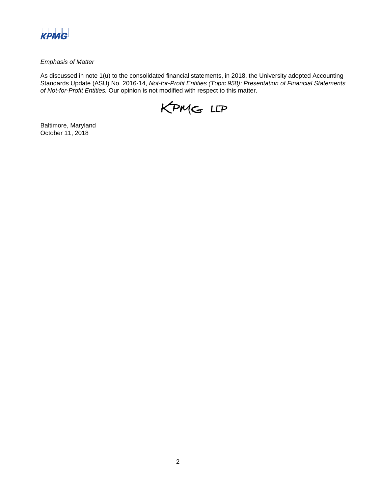

#### *Emphasis of Matter*

As discussed in note 1(u) to the consolidated financial statements, in 2018, the University adopted Accounting Standards Update (ASU) No. 2016-14, *Not-for-Profit Entities (Topic 958): Presentation of Financial Statements of Not-for-Profit Entities.* Our opinion is not modified with respect to this matter.



Baltimore, Maryland October 11, 2018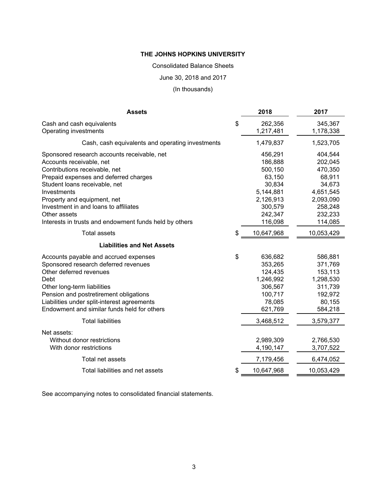# Consolidated Balance Sheets

June 30, 2018 and 2017

## (In thousands)

| <b>Assets</b>                                                                                                                                                                                                                                                                                                                                       | 2018                                                                                                         | 2017                                                                                                         |
|-----------------------------------------------------------------------------------------------------------------------------------------------------------------------------------------------------------------------------------------------------------------------------------------------------------------------------------------------------|--------------------------------------------------------------------------------------------------------------|--------------------------------------------------------------------------------------------------------------|
| Cash and cash equivalents<br>Operating investments                                                                                                                                                                                                                                                                                                  | \$<br>262,356<br>1,217,481                                                                                   | 345,367<br>1,178,338                                                                                         |
| Cash, cash equivalents and operating investments                                                                                                                                                                                                                                                                                                    | 1,479,837                                                                                                    | 1,523,705                                                                                                    |
| Sponsored research accounts receivable, net<br>Accounts receivable, net<br>Contributions receivable, net<br>Prepaid expenses and deferred charges<br>Student loans receivable, net<br>Investments<br>Property and equipment, net<br>Investment in and loans to affiliates<br>Other assets<br>Interests in trusts and endowment funds held by others | 456,291<br>186,888<br>500,150<br>63,150<br>30,834<br>5,144,881<br>2,126,913<br>300,579<br>242,347<br>116,098 | 404,544<br>202,045<br>470,350<br>68,911<br>34,673<br>4,651,545<br>2,093,090<br>258,248<br>232,233<br>114,085 |
| <b>Total assets</b>                                                                                                                                                                                                                                                                                                                                 | \$<br>10,647,968                                                                                             | 10,053,429                                                                                                   |
| <b>Liabilities and Net Assets</b>                                                                                                                                                                                                                                                                                                                   |                                                                                                              |                                                                                                              |
| Accounts payable and accrued expenses<br>Sponsored research deferred revenues<br>Other deferred revenues<br>Debt<br>Other long-term liabilities<br>Pension and postretirement obligations<br>Liabilities under split-interest agreements<br>Endowment and similar funds held for others                                                             | \$<br>636,682<br>353,265<br>124,435<br>1,246,992<br>306,567<br>100,717<br>78,085<br>621,769                  | 586,881<br>371,769<br>153,113<br>1,298,530<br>311,739<br>192,972<br>80,155<br>584,218                        |
| <b>Total liabilities</b>                                                                                                                                                                                                                                                                                                                            | 3,468,512                                                                                                    | 3,579,377                                                                                                    |
| Net assets:<br>Without donor restrictions<br>With donor restrictions                                                                                                                                                                                                                                                                                | 2,989,309<br>4,190,147                                                                                       | 2,766,530<br>3,707,522                                                                                       |
| Total net assets<br>Total liabilities and net assets                                                                                                                                                                                                                                                                                                | \$<br>7,179,456<br>10,647,968                                                                                | 6,474,052<br>10,053,429                                                                                      |
|                                                                                                                                                                                                                                                                                                                                                     |                                                                                                              |                                                                                                              |

See accompanying notes to consolidated financial statements.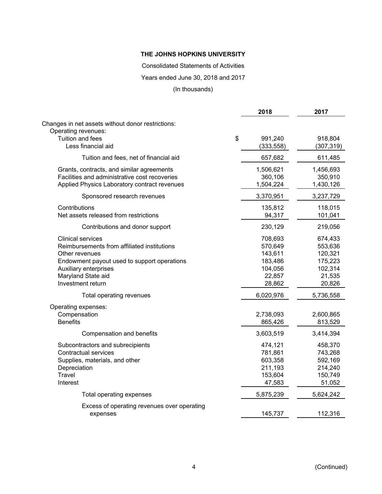Consolidated Statements of Activities

Years ended June 30, 2018 and 2017

(In thousands)

|                                                                                                                                                | 2018                                                          | 2017                                                          |
|------------------------------------------------------------------------------------------------------------------------------------------------|---------------------------------------------------------------|---------------------------------------------------------------|
| Changes in net assets without donor restrictions:<br>Operating revenues:                                                                       |                                                               |                                                               |
| Tuition and fees<br>Less financial aid                                                                                                         | \$<br>991,240<br>(333, 558)                                   | 918,804<br>(307, 319)                                         |
| Tuition and fees, net of financial aid                                                                                                         | 657,682                                                       | 611,485                                                       |
| Grants, contracts, and similar agreements<br>Facilities and administrative cost recoveries<br>Applied Physics Laboratory contract revenues     | 1,506,621<br>360,106<br>1,504,224                             | 1,456,693<br>350,910<br>1,430,126                             |
| Sponsored research revenues                                                                                                                    | 3,370,951                                                     | 3,237,729                                                     |
| Contributions<br>Net assets released from restrictions                                                                                         | 135,812<br>94,317                                             | 118,015<br>101,041                                            |
| Contributions and donor support                                                                                                                | 230,129                                                       | 219,056                                                       |
| <b>Clinical services</b><br>Reimbursements from affiliated institutions<br>Other revenues<br>Endowment payout used to support operations       | 708,693<br>570,649<br>143,611<br>183,486                      | 674,433<br>553,636<br>120,321<br>175,223                      |
| Auxiliary enterprises<br>Maryland State aid<br>Investment return                                                                               | 104,056<br>22,857<br>28,862                                   | 102,314<br>21,535<br>20,826                                   |
| Total operating revenues                                                                                                                       | 6,020,976                                                     | 5,736,558                                                     |
| Operating expenses:<br>Compensation<br><b>Benefits</b>                                                                                         | 2,738,093<br>865,426                                          | 2,600,865<br>813,529                                          |
| Compensation and benefits                                                                                                                      | 3,603,519                                                     | 3,414,394                                                     |
| Subcontractors and subrecipients<br><b>Contractual services</b><br>Supplies, materials, and other<br>Depreciation<br><b>Travel</b><br>Interest | 474,121<br>781,861<br>603,358<br>211,193<br>153,604<br>47,583 | 458,370<br>743,268<br>592,169<br>214,240<br>150,749<br>51,052 |
| Total operating expenses                                                                                                                       | 5,875,239                                                     | 5,624,242                                                     |
| Excess of operating revenues over operating<br>expenses                                                                                        | 145,737                                                       | 112,316                                                       |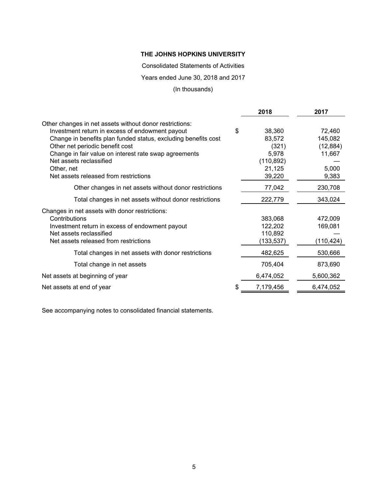Consolidated Statements of Activities

Years ended June 30, 2018 and 2017

(In thousands)

|                                                                | 2018            | 2017      |
|----------------------------------------------------------------|-----------------|-----------|
| Other changes in net assets without donor restrictions:        |                 |           |
| Investment return in excess of endowment payout                | \$<br>38,360    | 72,460    |
| Change in benefits plan funded status, excluding benefits cost | 83,572          | 145,082   |
| Other net periodic benefit cost                                | (321)           | (12, 884) |
| Change in fair value on interest rate swap agreements          | 5,978           | 11,667    |
| Net assets reclassified                                        | (110, 892)      |           |
| Other, net                                                     | 21,125          | 5,000     |
| Net assets released from restrictions                          | 39,220          | 9,383     |
| Other changes in net assets without donor restrictions         | 77,042          | 230,708   |
| Total changes in net assets without donor restrictions         | 222,779         | 343,024   |
| Changes in net assets with donor restrictions:                 |                 |           |
| Contributions                                                  | 383,068         | 472,009   |
| Investment return in excess of endowment payout                | 122,202         | 169,081   |
| Net assets reclassified                                        | 110,892         |           |
| Net assets released from restrictions                          | (133,537)       | (110,424) |
| Total changes in net assets with donor restrictions            | 482,625         | 530,666   |
| Total change in net assets                                     | 705,404         | 873,690   |
| Net assets at beginning of year                                | 6,474,052       | 5,600,362 |
| Net assets at end of year                                      | \$<br>7,179,456 | 6,474,052 |

See accompanying notes to consolidated financial statements.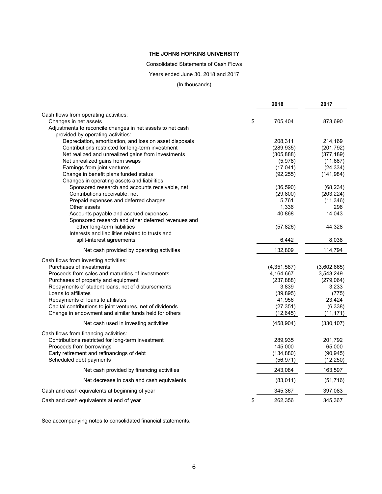#### Consolidated Statements of Cash Flows

Years ended June 30, 2018 and 2017

#### (In thousands)

|                                                            | 2018          | 2017        |
|------------------------------------------------------------|---------------|-------------|
| Cash flows from operating activities:                      |               |             |
| Changes in net assets                                      | \$<br>705,404 | 873,690     |
| Adjustments to reconcile changes in net assets to net cash |               |             |
| provided by operating activities:                          |               |             |
| Depreciation, amortization, and loss on asset disposals    | 208,311       | 214,169     |
| Contributions restricted for long-term investment          | (289, 935)    | (201, 792)  |
| Net realized and unrealized gains from investments         | (305, 888)    | (377, 189)  |
| Net unrealized gains from swaps                            | (5,978)       | (11,667)    |
| Earnings from joint ventures                               | (17, 041)     | (24, 334)   |
| Change in benefit plans funded status                      | (92, 255)     | (141, 984)  |
| Changes in operating assets and liabilities:               |               |             |
| Sponsored research and accounts receivable, net            | (36, 590)     | (68, 234)   |
| Contributions receivable, net                              | (29, 800)     | (203, 224)  |
| Prepaid expenses and deferred charges                      | 5,761         | (11, 346)   |
| Other assets                                               | 1,336         | 296         |
| Accounts payable and accrued expenses                      | 40,868        | 14,043      |
| Sponsored research and other deferred revenues and         |               |             |
| other long-term liabilities                                | (57, 826)     | 44,328      |
| Interests and liabilities related to trusts and            |               |             |
| split-interest agreements                                  | 6,442         | 8,038       |
|                                                            |               |             |
| Net cash provided by operating activities                  | 132,809       | 114,794     |
| Cash flows from investing activities:                      |               |             |
| Purchases of investments                                   | (4,351,587)   | (3,602,665) |
| Proceeds from sales and maturities of investments          | 4,164,667     | 3,543,249   |
| Purchases of property and equipment                        | (237, 888)    | (279,064)   |
| Repayments of student loans, net of disbursements          | 3,839         | 3,233       |
| Loans to affiliates                                        | (39, 895)     | (775)       |
| Repayments of loans to affiliates                          | 41,956        | 23,424      |
| Capital contributions to joint ventures, net of dividends  | (27, 351)     | (6, 338)    |
| Change in endowment and similar funds held for others      | (12, 645)     | (11, 171)   |
| Net cash used in investing activities                      | (458, 904)    | (330, 107)  |
| Cash flows from financing activities:                      |               |             |
| Contributions restricted for long-term investment          | 289,935       | 201,792     |
| Proceeds from borrowings                                   | 145,000       | 65,000      |
| Early retirement and refinancings of debt                  | (134, 880)    | (90, 945)   |
| Scheduled debt payments                                    | (56, 971)     | (12, 250)   |
|                                                            |               |             |
| Net cash provided by financing activities                  | 243,084       | 163,597     |
| Net decrease in cash and cash equivalents                  | (83,011)      | (51, 716)   |
| Cash and cash equivalents at beginning of year             | 345,367       | 397,083     |
| Cash and cash equivalents at end of year                   | \$<br>262,356 | 345,367     |

See accompanying notes to consolidated financial statements.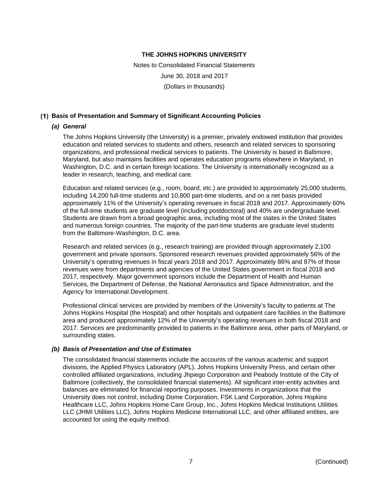Notes to Consolidated Financial Statements June 30, 2018 and 2017 (Dollars in thousands)

## **Basis of Presentation and Summary of Significant Accounting Policies**

#### *(a) General*

The Johns Hopkins University (the University) is a premier, privately endowed institution that provides education and related services to students and others, research and related services to sponsoring organizations, and professional medical services to patients. The University is based in Baltimore, Maryland, but also maintains facilities and operates education programs elsewhere in Maryland, in Washington, D.C. and in certain foreign locations. The University is internationally recognized as a leader in research, teaching, and medical care.

Education and related services (e.g., room, board, etc.) are provided to approximately 25,000 students, including 14,200 full-time students and 10,800 part-time students, and on a net basis provided approximately 11% of the University's operating revenues in fiscal 2018 and 2017. Approximately 60% of the full-time students are graduate level (including postdoctoral) and 40% are undergraduate level. Students are drawn from a broad geographic area, including most of the states in the United States and numerous foreign countries. The majority of the part-time students are graduate level students from the Baltimore-Washington, D.C. area.

Research and related services (e.g., research training) are provided through approximately 2,100 government and private sponsors. Sponsored research revenues provided approximately 56% of the University's operating revenues in fiscal years 2018 and 2017. Approximately 86% and 87% of those revenues were from departments and agencies of the United States government in fiscal 2018 and 2017, respectively. Major government sponsors include the Department of Health and Human Services, the Department of Defense, the National Aeronautics and Space Administration, and the Agency for International Development.

Professional clinical services are provided by members of the University's faculty to patients at The Johns Hopkins Hospital (the Hospital) and other hospitals and outpatient care facilities in the Baltimore area and produced approximately 12% of the University's operating revenues in both fiscal 2018 and 2017. Services are predominantly provided to patients in the Baltimore area, other parts of Maryland, or surrounding states.

#### *(b) Basis of Presentation and Use of Estimates*

The consolidated financial statements include the accounts of the various academic and support divisions, the Applied Physics Laboratory (APL), Johns Hopkins University Press, and certain other controlled affiliated organizations, including Jhpiego Corporation and Peabody Institute of the City of Baltimore (collectively, the consolidated financial statements). All significant inter-entity activities and balances are eliminated for financial reporting purposes. Investments in organizations that the University does not control, including Dome Corporation, FSK Land Corporation, Johns Hopkins Healthcare LLC, Johns Hopkins Home Care Group, Inc., Johns Hopkins Medical Institutions Utilities LLC (JHMI Utilities LLC), Johns Hopkins Medicine International LLC, and other affiliated entities, are accounted for using the equity method.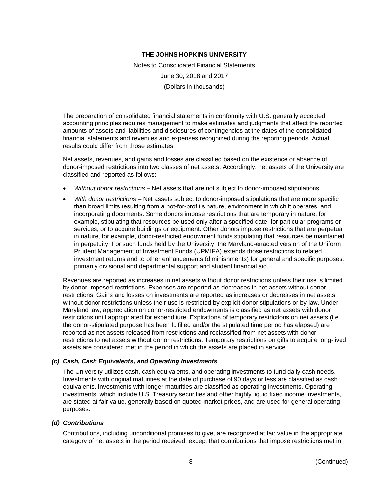Notes to Consolidated Financial Statements June 30, 2018 and 2017 (Dollars in thousands)

The preparation of consolidated financial statements in conformity with U.S. generally accepted accounting principles requires management to make estimates and judgments that affect the reported amounts of assets and liabilities and disclosures of contingencies at the dates of the consolidated financial statements and revenues and expenses recognized during the reporting periods. Actual results could differ from those estimates.

Net assets, revenues, and gains and losses are classified based on the existence or absence of donor-imposed restrictions into two classes of net assets. Accordingly, net assets of the University are classified and reported as follows:

- *Without donor restrictions –* Net assets that are not subject to donor-imposed stipulations.
- *With donor restrictions* Net assets subject to donor-imposed stipulations that are more specific than broad limits resulting from a not-for-profit's nature, environment in which it operates, and incorporating documents. Some donors impose restrictions that are temporary in nature, for example, stipulating that resources be used only after a specified date, for particular programs or services, or to acquire buildings or equipment. Other donors impose restrictions that are perpetual in nature, for example, donor-restricted endowment funds stipulating that resources be maintained in perpetuity. For such funds held by the University, the Maryland-enacted version of the Uniform Prudent Management of Investment Funds (UPMIFA) extends those restrictions to related investment returns and to other enhancements (diminishments) for general and specific purposes, primarily divisional and departmental support and student financial aid.

Revenues are reported as increases in net assets without donor restrictions unless their use is limited by donor-imposed restrictions. Expenses are reported as decreases in net assets without donor restrictions. Gains and losses on investments are reported as increases or decreases in net assets without donor restrictions unless their use is restricted by explicit donor stipulations or by law. Under Maryland law, appreciation on donor-restricted endowments is classified as net assets with donor restrictions until appropriated for expenditure. Expirations of temporary restrictions on net assets (i.e., the donor-stipulated purpose has been fulfilled and/or the stipulated time period has elapsed) are reported as net assets released from restrictions and reclassified from net assets with donor restrictions to net assets without donor restrictions. Temporary restrictions on gifts to acquire long-lived assets are considered met in the period in which the assets are placed in service.

## *(c) Cash, Cash Equivalents, and Operating Investments*

The University utilizes cash, cash equivalents, and operating investments to fund daily cash needs. Investments with original maturities at the date of purchase of 90 days or less are classified as cash equivalents. Investments with longer maturities are classified as operating investments. Operating investments, which include U.S. Treasury securities and other highly liquid fixed income investments, are stated at fair value, generally based on quoted market prices, and are used for general operating purposes.

#### *(d) Contributions*

Contributions, including unconditional promises to give, are recognized at fair value in the appropriate category of net assets in the period received, except that contributions that impose restrictions met in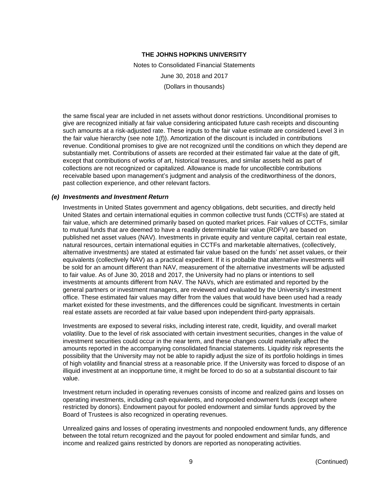Notes to Consolidated Financial Statements June 30, 2018 and 2017 (Dollars in thousands)

the same fiscal year are included in net assets without donor restrictions. Unconditional promises to give are recognized initially at fair value considering anticipated future cash receipts and discounting such amounts at a risk-adjusted rate. These inputs to the fair value estimate are considered Level 3 in the fair value hierarchy (see note 1(f)). Amortization of the discount is included in contributions revenue. Conditional promises to give are not recognized until the conditions on which they depend are substantially met. Contributions of assets are recorded at their estimated fair value at the date of gift, except that contributions of works of art, historical treasures, and similar assets held as part of collections are not recognized or capitalized. Allowance is made for uncollectible contributions receivable based upon management's judgment and analysis of the creditworthiness of the donors, past collection experience, and other relevant factors.

#### *(e) Investments and Investment Return*

Investments in United States government and agency obligations, debt securities, and directly held United States and certain international equities in common collective trust funds (CCTFs) are stated at fair value, which are determined primarily based on quoted market prices. Fair values of CCTFs, similar to mutual funds that are deemed to have a readily determinable fair value (RDFV) are based on published net asset values (NAV). Investments in private equity and venture capital, certain real estate, natural resources, certain international equities in CCTFs and marketable alternatives, (collectively, alternative investments) are stated at estimated fair value based on the funds' net asset values, or their equivalents (collectively NAV) as a practical expedient. If it is probable that alternative investments will be sold for an amount different than NAV, measurement of the alternative investments will be adjusted to fair value. As of June 30, 2018 and 2017, the University had no plans or intentions to sell investments at amounts different from NAV. The NAVs, which are estimated and reported by the general partners or investment managers, are reviewed and evaluated by the University's investment office. These estimated fair values may differ from the values that would have been used had a ready market existed for these investments, and the differences could be significant. Investments in certain real estate assets are recorded at fair value based upon independent third-party appraisals.

Investments are exposed to several risks, including interest rate, credit, liquidity, and overall market volatility. Due to the level of risk associated with certain investment securities, changes in the value of investment securities could occur in the near term, and these changes could materially affect the amounts reported in the accompanying consolidated financial statements. Liquidity risk represents the possibility that the University may not be able to rapidly adjust the size of its portfolio holdings in times of high volatility and financial stress at a reasonable price. If the University was forced to dispose of an illiquid investment at an inopportune time, it might be forced to do so at a substantial discount to fair value.

Investment return included in operating revenues consists of income and realized gains and losses on operating investments, including cash equivalents, and nonpooled endowment funds (except where restricted by donors). Endowment payout for pooled endowment and similar funds approved by the Board of Trustees is also recognized in operating revenues.

Unrealized gains and losses of operating investments and nonpooled endowment funds, any difference between the total return recognized and the payout for pooled endowment and similar funds, and income and realized gains restricted by donors are reported as nonoperating activities.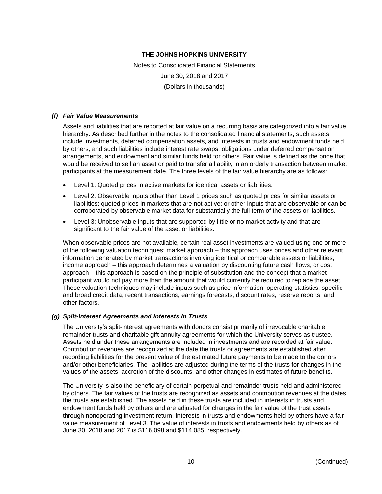Notes to Consolidated Financial Statements June 30, 2018 and 2017 (Dollars in thousands)

## *(f) Fair Value Measurements*

Assets and liabilities that are reported at fair value on a recurring basis are categorized into a fair value hierarchy. As described further in the notes to the consolidated financial statements, such assets include investments, deferred compensation assets, and interests in trusts and endowment funds held by others, and such liabilities include interest rate swaps, obligations under deferred compensation arrangements, and endowment and similar funds held for others. Fair value is defined as the price that would be received to sell an asset or paid to transfer a liability in an orderly transaction between market participants at the measurement date. The three levels of the fair value hierarchy are as follows:

- Level 1: Quoted prices in active markets for identical assets or liabilities.
- Level 2: Observable inputs other than Level 1 prices such as quoted prices for similar assets or liabilities; quoted prices in markets that are not active; or other inputs that are observable or can be corroborated by observable market data for substantially the full term of the assets or liabilities.
- Level 3: Unobservable inputs that are supported by little or no market activity and that are significant to the fair value of the asset or liabilities.

When observable prices are not available, certain real asset investments are valued using one or more of the following valuation techniques: market approach – this approach uses prices and other relevant information generated by market transactions involving identical or comparable assets or liabilities; income approach – this approach determines a valuation by discounting future cash flows; or cost approach – this approach is based on the principle of substitution and the concept that a market participant would not pay more than the amount that would currently be required to replace the asset. These valuation techniques may include inputs such as price information, operating statistics, specific and broad credit data, recent transactions, earnings forecasts, discount rates, reserve reports, and other factors.

#### *(g) Split-Interest Agreements and Interests in Trusts*

The University's split-interest agreements with donors consist primarily of irrevocable charitable remainder trusts and charitable gift annuity agreements for which the University serves as trustee. Assets held under these arrangements are included in investments and are recorded at fair value. Contribution revenues are recognized at the date the trusts or agreements are established after recording liabilities for the present value of the estimated future payments to be made to the donors and/or other beneficiaries. The liabilities are adjusted during the terms of the trusts for changes in the values of the assets, accretion of the discounts, and other changes in estimates of future benefits.

The University is also the beneficiary of certain perpetual and remainder trusts held and administered by others. The fair values of the trusts are recognized as assets and contribution revenues at the dates the trusts are established. The assets held in these trusts are included in interests in trusts and endowment funds held by others and are adjusted for changes in the fair value of the trust assets through nonoperating investment return. Interests in trusts and endowments held by others have a fair value measurement of Level 3. The value of interests in trusts and endowments held by others as of June 30, 2018 and 2017 is \$116,098 and \$114,085, respectively.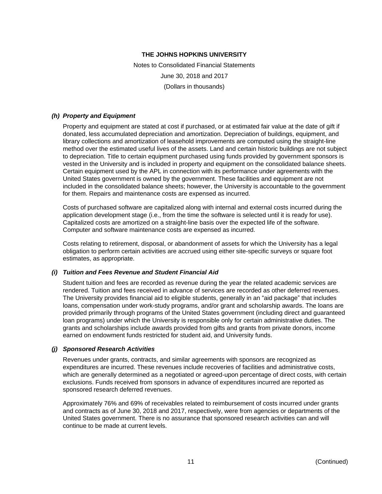Notes to Consolidated Financial Statements June 30, 2018 and 2017 (Dollars in thousands)

## *(h) Property and Equipment*

Property and equipment are stated at cost if purchased, or at estimated fair value at the date of gift if donated, less accumulated depreciation and amortization. Depreciation of buildings, equipment, and library collections and amortization of leasehold improvements are computed using the straight-line method over the estimated useful lives of the assets. Land and certain historic buildings are not subject to depreciation. Title to certain equipment purchased using funds provided by government sponsors is vested in the University and is included in property and equipment on the consolidated balance sheets. Certain equipment used by the APL in connection with its performance under agreements with the United States government is owned by the government. These facilities and equipment are not included in the consolidated balance sheets; however, the University is accountable to the government for them. Repairs and maintenance costs are expensed as incurred.

Costs of purchased software are capitalized along with internal and external costs incurred during the application development stage (i.e., from the time the software is selected until it is ready for use). Capitalized costs are amortized on a straight-line basis over the expected life of the software. Computer and software maintenance costs are expensed as incurred.

Costs relating to retirement, disposal, or abandonment of assets for which the University has a legal obligation to perform certain activities are accrued using either site-specific surveys or square foot estimates, as appropriate.

#### *(i) Tuition and Fees Revenue and Student Financial Aid*

Student tuition and fees are recorded as revenue during the year the related academic services are rendered. Tuition and fees received in advance of services are recorded as other deferred revenues. The University provides financial aid to eligible students, generally in an "aid package" that includes loans, compensation under work-study programs, and/or grant and scholarship awards. The loans are provided primarily through programs of the United States government (including direct and guaranteed loan programs) under which the University is responsible only for certain administrative duties. The grants and scholarships include awards provided from gifts and grants from private donors, income earned on endowment funds restricted for student aid, and University funds.

#### *(j) Sponsored Research Activities*

Revenues under grants, contracts, and similar agreements with sponsors are recognized as expenditures are incurred. These revenues include recoveries of facilities and administrative costs, which are generally determined as a negotiated or agreed-upon percentage of direct costs, with certain exclusions. Funds received from sponsors in advance of expenditures incurred are reported as sponsored research deferred revenues.

Approximately 76% and 69% of receivables related to reimbursement of costs incurred under grants and contracts as of June 30, 2018 and 2017, respectively, were from agencies or departments of the United States government. There is no assurance that sponsored research activities can and will continue to be made at current levels.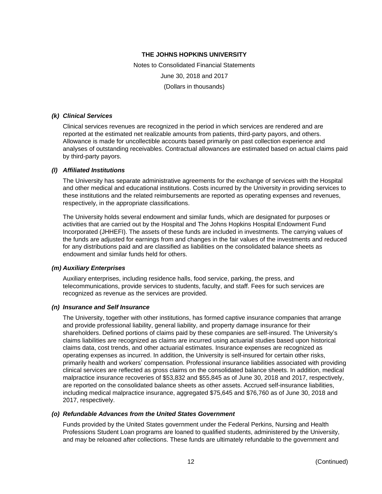Notes to Consolidated Financial Statements June 30, 2018 and 2017 (Dollars in thousands)

#### *(k) Clinical Services*

Clinical services revenues are recognized in the period in which services are rendered and are reported at the estimated net realizable amounts from patients, third-party payors, and others. Allowance is made for uncollectible accounts based primarily on past collection experience and analyses of outstanding receivables. Contractual allowances are estimated based on actual claims paid by third-party payors.

## *(l) Affiliated Institutions*

The University has separate administrative agreements for the exchange of services with the Hospital and other medical and educational institutions. Costs incurred by the University in providing services to these institutions and the related reimbursements are reported as operating expenses and revenues, respectively, in the appropriate classifications.

The University holds several endowment and similar funds, which are designated for purposes or activities that are carried out by the Hospital and The Johns Hopkins Hospital Endowment Fund Incorporated (JHHEFI). The assets of these funds are included in investments. The carrying values of the funds are adjusted for earnings from and changes in the fair values of the investments and reduced for any distributions paid and are classified as liabilities on the consolidated balance sheets as endowment and similar funds held for others.

#### *(m) Auxiliary Enterprises*

Auxiliary enterprises, including residence halls, food service, parking, the press, and telecommunications, provide services to students, faculty, and staff. Fees for such services are recognized as revenue as the services are provided.

#### *(n) Insurance and Self Insurance*

The University, together with other institutions, has formed captive insurance companies that arrange and provide professional liability, general liability, and property damage insurance for their shareholders. Defined portions of claims paid by these companies are self-insured. The University's claims liabilities are recognized as claims are incurred using actuarial studies based upon historical claims data, cost trends, and other actuarial estimates. Insurance expenses are recognized as operating expenses as incurred. In addition, the University is self-insured for certain other risks, primarily health and workers' compensation. Professional insurance liabilities associated with providing clinical services are reflected as gross claims on the consolidated balance sheets. In addition, medical malpractice insurance recoveries of \$53,832 and \$55,845 as of June 30, 2018 and 2017, respectively, are reported on the consolidated balance sheets as other assets. Accrued self-insurance liabilities, including medical malpractice insurance, aggregated \$75,645 and \$76,760 as of June 30, 2018 and 2017, respectively.

#### *(o) Refundable Advances from the United States Government*

Funds provided by the United States government under the Federal Perkins, Nursing and Health Professions Student Loan programs are loaned to qualified students, administered by the University, and may be reloaned after collections. These funds are ultimately refundable to the government and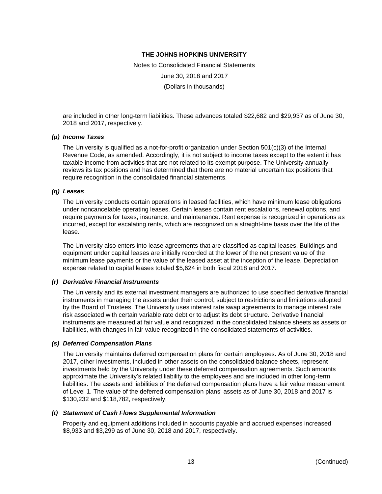Notes to Consolidated Financial Statements June 30, 2018 and 2017 (Dollars in thousands)

are included in other long-term liabilities. These advances totaled \$22,682 and \$29,937 as of June 30, 2018 and 2017, respectively.

## *(p) Income Taxes*

The University is qualified as a not-for-profit organization under Section 501(c)(3) of the Internal Revenue Code, as amended. Accordingly, it is not subject to income taxes except to the extent it has taxable income from activities that are not related to its exempt purpose. The University annually reviews its tax positions and has determined that there are no material uncertain tax positions that require recognition in the consolidated financial statements.

#### *(q) Leases*

The University conducts certain operations in leased facilities, which have minimum lease obligations under noncancelable operating leases. Certain leases contain rent escalations, renewal options, and require payments for taxes, insurance, and maintenance. Rent expense is recognized in operations as incurred, except for escalating rents, which are recognized on a straight-line basis over the life of the lease.

The University also enters into lease agreements that are classified as capital leases. Buildings and equipment under capital leases are initially recorded at the lower of the net present value of the minimum lease payments or the value of the leased asset at the inception of the lease. Depreciation expense related to capital leases totaled \$5,624 in both fiscal 2018 and 2017.

#### *(r) Derivative Financial Instruments*

The University and its external investment managers are authorized to use specified derivative financial instruments in managing the assets under their control, subject to restrictions and limitations adopted by the Board of Trustees. The University uses interest rate swap agreements to manage interest rate risk associated with certain variable rate debt or to adjust its debt structure. Derivative financial instruments are measured at fair value and recognized in the consolidated balance sheets as assets or liabilities, with changes in fair value recognized in the consolidated statements of activities.

#### *(s) Deferred Compensation Plans*

The University maintains deferred compensation plans for certain employees. As of June 30, 2018 and 2017, other investments, included in other assets on the consolidated balance sheets, represent investments held by the University under these deferred compensation agreements. Such amounts approximate the University's related liability to the employees and are included in other long-term liabilities. The assets and liabilities of the deferred compensation plans have a fair value measurement of Level 1. The value of the deferred compensation plans' assets as of June 30, 2018 and 2017 is \$130,232 and \$118,782, respectively.

#### *(t) Statement of Cash Flows Supplemental Information*

Property and equipment additions included in accounts payable and accrued expenses increased \$8,933 and \$3,299 as of June 30, 2018 and 2017, respectively.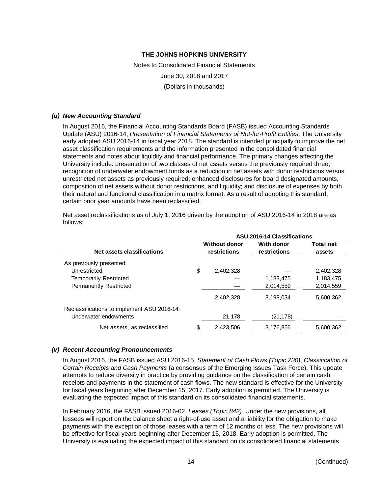Notes to Consolidated Financial Statements June 30, 2018 and 2017 (Dollars in thousands)

#### *(u) New Accounting Standard*

In August 2016, the Financial Accounting Standards Board (FASB) issued Accounting Standards Update (ASU) 2016-14, *Presentation of Financial Statements of Not-for-Profit Entities*. The University early adopted ASU 2016-14 in fiscal year 2018. The standard is intended principally to improve the net asset classification requirements and the information presented in the consolidated financial statements and notes about liquidity and financial performance. The primary changes affecting the University include: presentation of two classes of net assets versus the previously required three; recognition of underwater endowment funds as a reduction in net assets with donor restrictions versus unrestricted net assets as previously required; enhanced disclosures for board designated amounts, composition of net assets without donor restrictions, and liquidity; and disclosure of expenses by both their natural and functional classification in a matrix format. As a result of adopting this standard, certain prior year amounts have been reclassified.

Net asset reclassifications as of July 1, 2016 driven by the adoption of ASU 2016-14 in 2018 are as follows:

|                                             | <b>ASU 2016-14 Classifications</b> |                                      |                            |                            |  |  |  |
|---------------------------------------------|------------------------------------|--------------------------------------|----------------------------|----------------------------|--|--|--|
| Net assets classifications                  |                                    | <b>Without donor</b><br>restrictions | With donor<br>restrictions | <b>Total net</b><br>assets |  |  |  |
| As previously presented:                    |                                    |                                      |                            |                            |  |  |  |
| Unrestricted                                | \$                                 | 2,402,328                            |                            | 2,402,328                  |  |  |  |
| <b>Temporarily Restricted</b>               |                                    |                                      | 1,183,475                  | 1,183,475                  |  |  |  |
| <b>Permanently Restricted</b>               |                                    |                                      | 2,014,559                  | 2,014,559                  |  |  |  |
|                                             |                                    | 2,402,328                            | 3,198,034                  | 5,600,362                  |  |  |  |
| Reclassifications to implement ASU 2016-14: |                                    |                                      |                            |                            |  |  |  |
| Underwater endowments                       |                                    | 21,178                               | (21,178)                   |                            |  |  |  |
| Net assets, as reclassified                 | S                                  | 2,423,506                            | 3,176,856                  | 5,600,362                  |  |  |  |

#### *(v) Recent Accounting Pronouncements*

In August 2016, the FASB issued ASU 2016-15, *Statement of Cash Flows (Topic 230)*, *Classification of Certain Receipts and Cash Payments* (a consensus of the Emerging Issues Task Force). This update attempts to reduce diversity in practice by providing guidance on the classification of certain cash receipts and payments in the statement of cash flows. The new standard is effective for the University for fiscal years beginning after December 15, 2017. Early adoption is permitted. The University is evaluating the expected impact of this standard on its consolidated financial statements.

In February 2016, the FASB issued 2016-02, *Leases (Topic 842)*. Under the new provisions, all lessees will report on the balance sheet a right-of-use asset and a liability for the obligation to make payments with the exception of those leases with a term of 12 months or less. The new provisions will be effective for fiscal years beginning after December 15, 2018. Early adoption is permitted. The University is evaluating the expected impact of this standard on its consolidated financial statements.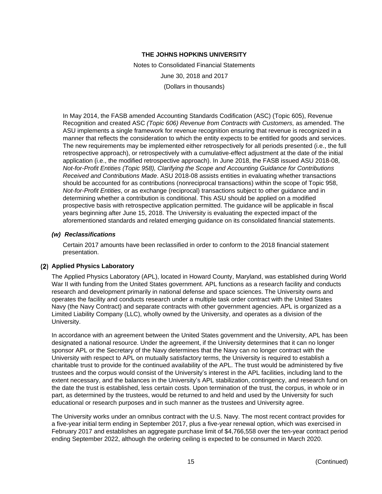Notes to Consolidated Financial Statements June 30, 2018 and 2017 (Dollars in thousands)

In May 2014, the FASB amended Accounting Standards Codification (ASC) (Topic 605), Revenue Recognition and created ASC *(Topic 606) Revenue from Contracts with Customers,* as amended. The ASU implements a single framework for revenue recognition ensuring that revenue is recognized in a manner that reflects the consideration to which the entity expects to be entitled for goods and services. The new requirements may be implemented either retrospectively for all periods presented (i.e., the full retrospective approach), or retrospectively with a cumulative-effect adjustment at the date of the initial application (i.e., the modified retrospective approach). In June 2018, the FASB issued ASU 2018-08, *Not-for-Profit Entities (Topic 958), Clarifying the Scope and Accounting Guidance for Contributions Received and Contributions Made*. ASU 2018-08 assists entities in evaluating whether transactions should be accounted for as contributions (nonreciprocal transactions) within the scope of Topic 958, *Not-for-Profit Entities*, or as exchange (reciprocal) transactions subject to other guidance and in determining whether a contribution is conditional. This ASU should be applied on a modified prospective basis with retrospective application permitted. The guidance will be applicable in fiscal years beginning after June 15, 2018. The University is evaluating the expected impact of the aforementioned standards and related emerging guidance on its consolidated financial statements.

## *(w) Reclassifications*

Certain 2017 amounts have been reclassified in order to conform to the 2018 financial statement presentation.

## **Applied Physics Laboratory**

The Applied Physics Laboratory (APL), located in Howard County, Maryland, was established during World War II with funding from the United States government. APL functions as a research facility and conducts research and development primarily in national defense and space sciences. The University owns and operates the facility and conducts research under a multiple task order contract with the United States Navy (the Navy Contract) and separate contracts with other government agencies. APL is organized as a Limited Liability Company (LLC), wholly owned by the University, and operates as a division of the University.

In accordance with an agreement between the United States government and the University, APL has been designated a national resource. Under the agreement, if the University determines that it can no longer sponsor APL or the Secretary of the Navy determines that the Navy can no longer contract with the University with respect to APL on mutually satisfactory terms, the University is required to establish a charitable trust to provide for the continued availability of the APL. The trust would be administered by five trustees and the corpus would consist of the University's interest in the APL facilities, including land to the extent necessary, and the balances in the University's APL stabilization, contingency, and research fund on the date the trust is established, less certain costs. Upon termination of the trust, the corpus, in whole or in part, as determined by the trustees, would be returned to and held and used by the University for such educational or research purposes and in such manner as the trustees and University agree.

The University works under an omnibus contract with the U.S. Navy. The most recent contract provides for a five-year initial term ending in September 2017, plus a five-year renewal option, which was exercised in February 2017 and establishes an aggregate purchase limit of \$4,766,558 over the ten-year contract period ending September 2022, although the ordering ceiling is expected to be consumed in March 2020.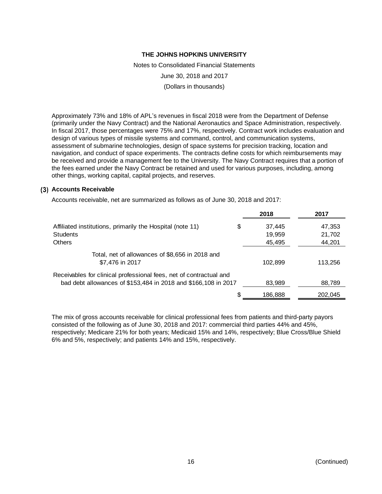Notes to Consolidated Financial Statements June 30, 2018 and 2017 (Dollars in thousands)

Approximately 73% and 18% of APL's revenues in fiscal 2018 were from the Department of Defense (primarily under the Navy Contract) and the National Aeronautics and Space Administration, respectively. In fiscal 2017, those percentages were 75% and 17%, respectively. Contract work includes evaluation and design of various types of missile systems and command, control, and communication systems, assessment of submarine technologies, design of space systems for precision tracking, location and navigation, and conduct of space experiments. The contracts define costs for which reimbursements may be received and provide a management fee to the University. The Navy Contract requires that a portion of the fees earned under the Navy Contract be retained and used for various purposes, including, among other things, working capital, capital projects, and reserves.

## **Accounts Receivable**

Accounts receivable, net are summarized as follows as of June 30, 2018 and 2017:

|                                                                    |    | 2018    | 2017    |
|--------------------------------------------------------------------|----|---------|---------|
| Affiliated institutions, primarily the Hospital (note 11)          | \$ | 37,445  | 47,353  |
| <b>Students</b>                                                    |    | 19,959  | 21,702  |
| <b>Others</b>                                                      |    | 45,495  | 44,201  |
| Total, net of allowances of \$8,656 in 2018 and<br>\$7,476 in 2017 |    | 102,899 | 113,256 |
| Receivables for clinical professional fees, net of contractual and |    |         |         |
| bad debt allowances of \$153,484 in 2018 and \$166,108 in 2017     |    | 83,989  | 88,789  |
|                                                                    | S  | 186,888 | 202,045 |

The mix of gross accounts receivable for clinical professional fees from patients and third-party payors consisted of the following as of June 30, 2018 and 2017: commercial third parties 44% and 45%, respectively; Medicare 21% for both years; Medicaid 15% and 14%, respectively; Blue Cross/Blue Shield 6% and 5%, respectively; and patients 14% and 15%, respectively.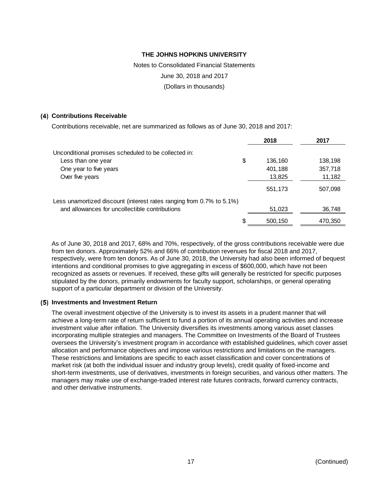Notes to Consolidated Financial Statements

June 30, 2018 and 2017

(Dollars in thousands)

#### **Contributions Receivable**

Contributions receivable, net are summarized as follows as of June 30, 2018 and 2017:

|                                                                      | 2018          | 2017    |
|----------------------------------------------------------------------|---------------|---------|
| Unconditional promises scheduled to be collected in:                 |               |         |
| Less than one year                                                   | \$<br>136,160 | 138,198 |
| One year to five years                                               | 401,188       | 357,718 |
| Over five years                                                      | 13,825        | 11,182  |
|                                                                      | 551,173       | 507,098 |
| Less unamortized discount (interest rates ranging from 0.7% to 5.1%) |               |         |
| and allowances for uncollectible contributions                       | 51,023        | 36,748  |
|                                                                      | \$<br>500,150 | 470,350 |

As of June 30, 2018 and 2017, 68% and 70%, respectively, of the gross contributions receivable were due from ten donors. Approximately 52% and 66% of contribution revenues for fiscal 2018 and 2017, respectively, were from ten donors. As of June 30, 2018, the University had also been informed of bequest intentions and conditional promises to give aggregating in excess of \$600,000, which have not been recognized as assets or revenues. If received, these gifts will generally be restricted for specific purposes stipulated by the donors, primarily endowments for faculty support, scholarships, or general operating support of a particular department or division of the University.

#### **Investments and Investment Return**

The overall investment objective of the University is to invest its assets in a prudent manner that will achieve a long-term rate of return sufficient to fund a portion of its annual operating activities and increase investment value after inflation. The University diversifies its investments among various asset classes incorporating multiple strategies and managers. The Committee on Investments of the Board of Trustees oversees the University's investment program in accordance with established guidelines, which cover asset allocation and performance objectives and impose various restrictions and limitations on the managers. These restrictions and limitations are specific to each asset classification and cover concentrations of market risk (at both the individual issuer and industry group levels), credit quality of fixed-income and short-term investments, use of derivatives, investments in foreign securities, and various other matters. The managers may make use of exchange-traded interest rate futures contracts, forward currency contracts, and other derivative instruments.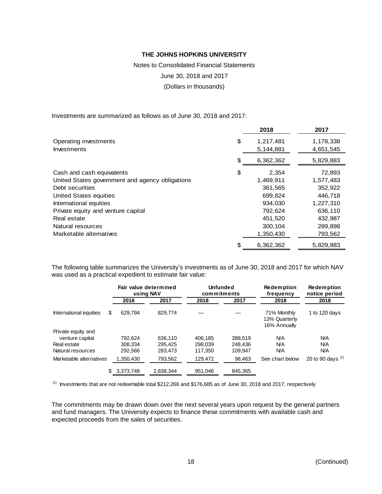Notes to Consolidated Financial Statements

June 30, 2018 and 2017

(Dollars in thousands)

Investments are summarized as follows as of June 30, 2018 and 2017:

|                                                 |    | 2018                   | 2017                   |
|-------------------------------------------------|----|------------------------|------------------------|
| Operating investments<br><b>Investments</b>     | \$ | 1,217,481<br>5,144,881 | 1,178,338<br>4,651,545 |
|                                                 | Ж, | 6,362,362              | 5,829,883              |
| Cash and cash equivalents                       | \$ | 2,354                  | 72,893                 |
| United States government and agency obligations |    | 1,469,911              | 1,577,483              |
| Debt securities                                 |    | 361,565                | 352,922                |
| <b>United States equities</b>                   |    | 699,824                | 446,718                |
| International equities                          |    | 934.030                | 1,227,310              |
| Private equity and venture capital              |    | 792,624                | 636,110                |
| Real estate                                     |    | 451,520                | 432,987                |
| Natural resources                               |    | 300,104                | 289,898                |
| Marketable alternatives                         |    | 1,350,430              | 793,562                |
|                                                 | \$ | 6,362,362              | 5,829,883              |

The following table summarizes the University's investments as of June 30, 2018 and 2017 for which NAV was used as a practical expedient to estimate fair value:

|                              | Fair value determined<br>using NAV |           | Unfunded<br>commitments |         | <b>Redemption</b><br>frequency               | <b>Redemption</b><br>notice period |
|------------------------------|------------------------------------|-----------|-------------------------|---------|----------------------------------------------|------------------------------------|
|                              | 2018                               | 2017      | 2018                    | 2017    | 2018                                         | 2018                               |
| International equities<br>\$ | 629.794                            | 829.774   |                         |         | 71% Monthly<br>13% Quarterly<br>16% Annually | 1 to 120 days                      |
| Private equity and           |                                    |           |                         |         |                                              |                                    |
| venture capital              | 792.624                            | 636.110   | 406.185                 | 388.519 | <b>N/A</b>                                   | <b>N/A</b>                         |
| Real estate                  | 308.334                            | 295.425   | 298,039                 | 248.436 | <b>N/A</b>                                   | <b>N/A</b>                         |
| Natural resources            | 292.566                            | 283.473   | 117.350                 | 109.947 | <b>N/A</b>                                   | <b>N/A</b>                         |
| Marketable alternatives      | 1,350,430                          | 793,562   | 129.472                 | 98,463  | See chart below                              | 20 to 90 days $(1)$                |
| \$                           | 3.373.748                          | 2.838.344 | 951.046                 | 845.365 |                                              |                                    |

(1) Investments that are not redeemable total \$212,266 and \$176,685 as of June 30, 2018 and 2017, respectively

The commitments may be drawn down over the next several years upon request by the general partners and fund managers. The University expects to finance these commitments with available cash and expected proceeds from the sales of securities.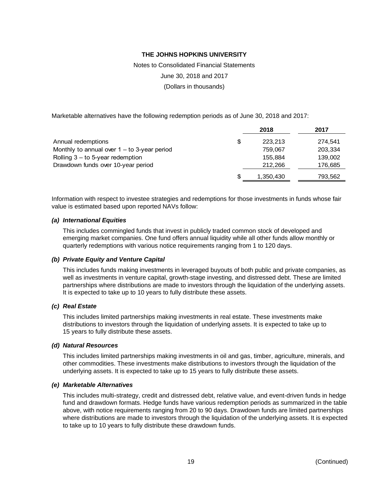Notes to Consolidated Financial Statements

June 30, 2018 and 2017

(Dollars in thousands)

Marketable alternatives have the following redemption periods as of June 30, 2018 and 2017:

|                                               |     | 2018      | 2017    |
|-----------------------------------------------|-----|-----------|---------|
| Annual redemptions                            | \$  | 223.213   | 274.541 |
| Monthly to annual over $1 -$ to 3-year period |     | 759,067   | 203,334 |
| Rolling $3 -$ to 5-year redemption            |     | 155,884   | 139,002 |
| Drawdown funds over 10-year period            |     | 212,266   | 176,685 |
|                                               | \$. | 1,350,430 | 793,562 |

Information with respect to investee strategies and redemptions for those investments in funds whose fair value is estimated based upon reported NAVs follow:

#### *(a) International Equities*

This includes commingled funds that invest in publicly traded common stock of developed and emerging market companies. One fund offers annual liquidity while all other funds allow monthly or quarterly redemptions with various notice requirements ranging from 1 to 120 days.

#### *(b) Private Equity and Venture Capital*

This includes funds making investments in leveraged buyouts of both public and private companies, as well as investments in venture capital, growth-stage investing, and distressed debt. These are limited partnerships where distributions are made to investors through the liquidation of the underlying assets. It is expected to take up to 10 years to fully distribute these assets.

#### *(c) Real Estate*

This includes limited partnerships making investments in real estate. These investments make distributions to investors through the liquidation of underlying assets. It is expected to take up to 15 years to fully distribute these assets.

#### *(d) Natural Resources*

This includes limited partnerships making investments in oil and gas, timber, agriculture, minerals, and other commodities. These investments make distributions to investors through the liquidation of the underlying assets. It is expected to take up to 15 years to fully distribute these assets.

## *(e) Marketable Alternatives*

This includes multi-strategy, credit and distressed debt, relative value, and event-driven funds in hedge fund and drawdown formats. Hedge funds have various redemption periods as summarized in the table above, with notice requirements ranging from 20 to 90 days. Drawdown funds are limited partnerships where distributions are made to investors through the liquidation of the underlying assets. It is expected to take up to 10 years to fully distribute these drawdown funds.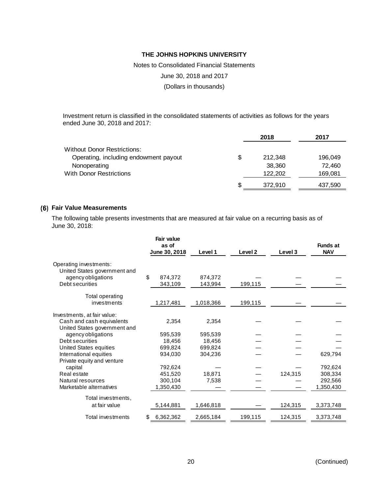Notes to Consolidated Financial Statements

June 30, 2018 and 2017

(Dollars in thousands)

Investment return is classified in the consolidated statements of activities as follows for the years ended June 30, 2018 and 2017:

|                                       |   | 2018    | 2017    |
|---------------------------------------|---|---------|---------|
| <b>Without Donor Restrictions:</b>    |   |         |         |
| Operating, including endowment payout | S | 212.348 | 196,049 |
| Nonoperating                          |   | 38,360  | 72.460  |
| <b>With Donor Restrictions</b>        |   | 122,202 | 169,081 |
|                                       | S | 372.910 | 437,590 |

## **Fair Value Measurements**

The following table presents investments that are measured at fair value on a recurring basis as of June 30, 2018:

|                              | <b>Fair value</b><br>as of<br>June 30, 2018 | Level 1   | Level 2 | Level 3 | <b>Funds at</b><br><b>NAV</b> |
|------------------------------|---------------------------------------------|-----------|---------|---------|-------------------------------|
| Operating investments:       |                                             |           |         |         |                               |
| United States government and |                                             |           |         |         |                               |
| agency obligations           | \$<br>874,372                               | 874,372   |         |         |                               |
| Debt securities              | 343,109                                     | 143,994   | 199,115 |         |                               |
| Total operating              |                                             |           |         |         |                               |
| investments                  | 1,217,481                                   | 1,018,366 | 199,115 |         |                               |
| Investments, at fair value:  |                                             |           |         |         |                               |
| Cash and cash equivalents    | 2,354                                       | 2,354     |         |         |                               |
| United States government and |                                             |           |         |         |                               |
| agency obligations           | 595,539                                     | 595,539   |         |         |                               |
| Debt securities              | 18,456                                      | 18,456    |         |         |                               |
| United States equities       | 699,824                                     | 699,824   |         |         |                               |
| International equities       | 934.030                                     | 304.236   |         |         | 629,794                       |
| Private equity and venture   |                                             |           |         |         |                               |
| capital                      | 792,624                                     |           |         |         | 792,624                       |
| Real estate                  | 451,520                                     | 18,871    |         | 124,315 | 308,334                       |
| Natural resources            | 300.104                                     | 7,538     |         |         | 292.566                       |
| Marketable alternatives      | 1,350,430                                   |           |         |         | 1,350,430                     |
| Total investments,           |                                             |           |         |         |                               |
| at fair value                | 5,144,881                                   | 1,646,818 |         | 124,315 | 3,373,748                     |
| Total investments            | 6,362,362<br>S                              | 2,665,184 | 199,115 | 124,315 | 3,373,748                     |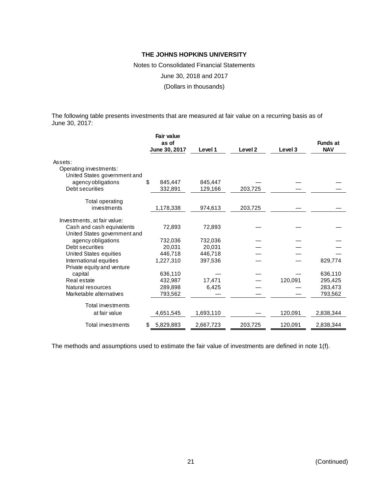Notes to Consolidated Financial Statements

June 30, 2018 and 2017

(Dollars in thousands)

The following table presents investments that are measured at fair value on a recurring basis as of June 30, 2017:

|                              | <b>Fair value</b><br>as of |           |                    |         | <b>Funds at</b> |
|------------------------------|----------------------------|-----------|--------------------|---------|-----------------|
|                              | June 30, 2017              | Level 1   | Level <sub>2</sub> | Level 3 | <b>NAV</b>      |
| Assets:                      |                            |           |                    |         |                 |
| Operating investments:       |                            |           |                    |         |                 |
| United States government and |                            |           |                    |         |                 |
| agency obligations           | \$<br>845,447              | 845,447   |                    |         |                 |
| Debt securities              | 332,891                    | 129,166   | 203,725            |         |                 |
| <b>Total operating</b>       |                            |           |                    |         |                 |
| investments                  | 1,178,338                  | 974,613   | 203,725            |         |                 |
| Investments, at fair value:  |                            |           |                    |         |                 |
| Cash and cash equivalents    | 72,893                     | 72,893    |                    |         |                 |
| United States government and |                            |           |                    |         |                 |
| agency obligations           | 732,036                    | 732,036   |                    |         |                 |
| Debt securities              | 20,031                     | 20.031    |                    |         |                 |
| United States equities       | 446,718                    | 446,718   |                    |         |                 |
| International equities       | 1,227,310                  | 397,536   |                    |         | 829,774         |
| Private equity and venture   |                            |           |                    |         |                 |
| capital                      | 636,110                    |           |                    |         | 636,110         |
| Real estate                  | 432,987                    | 17,471    |                    | 120,091 | 295,425         |
| Natural resources            | 289.898                    | 6,425     |                    |         | 283,473         |
| Marketable alternatives      | 793,562                    |           |                    |         | 793,562         |
| Total investments            |                            |           |                    |         |                 |
| at fair value                | 4,651,545                  | 1,693,110 |                    | 120,091 | 2,838,344       |
| Total investments            | 5,829,883                  | 2,667,723 | 203,725            | 120,091 | 2,838,344       |

The methods and assumptions used to estimate the fair value of investments are defined in note 1(f).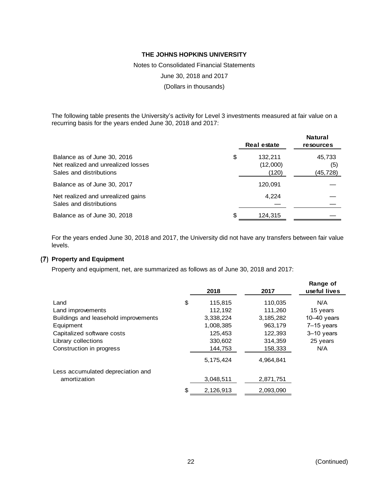Notes to Consolidated Financial Statements

June 30, 2018 and 2017

(Dollars in thousands)

The following table presents the University's activity for Level 3 investments measured at fair value on a recurring basis for the years ended June 30, 2018 and 2017:

|                                                                                              | <b>Real estate</b>                 | <b>Natural</b><br>resources |
|----------------------------------------------------------------------------------------------|------------------------------------|-----------------------------|
| Balance as of June 30, 2016<br>Net realized and unrealized losses<br>Sales and distributions | \$<br>132,211<br>(12,000)<br>(120) | 45,733<br>(5)<br>(45,728)   |
| Balance as of June 30, 2017                                                                  | 120,091                            |                             |
| Net realized and unrealized gains<br>Sales and distributions                                 | 4.224                              |                             |
| Balance as of June 30, 2018                                                                  | 124,315                            |                             |

For the years ended June 30, 2018 and 2017, the University did not have any transfers between fair value levels.

## **Property and Equipment**

Property and equipment, net, are summarized as follows as of June 30, 2018 and 2017:

|                                      | 2018            | 2017      | Range of<br>useful lives |
|--------------------------------------|-----------------|-----------|--------------------------|
| Land                                 | \$<br>115,815   | 110,035   | N/A                      |
| Land improvements                    | 112,192         | 111,260   | 15 years                 |
| Buildings and leasehold improvements | 3,338,224       | 3,185,282 | $10-40$ years            |
| Equipment                            | 1,008,385       | 963,179   | $7-15$ years             |
| Capitalized software costs           | 125,453         | 122,393   | 3-10 years               |
| Library collections                  | 330,602         | 314,359   | 25 years                 |
| Construction in progress             | 144,753         | 158,333   | N/A                      |
|                                      | 5,175,424       | 4.964.841 |                          |
| Less accumulated depreciation and    |                 |           |                          |
| amortization                         | 3,048,511       | 2,871,751 |                          |
|                                      | \$<br>2,126,913 | 2,093,090 |                          |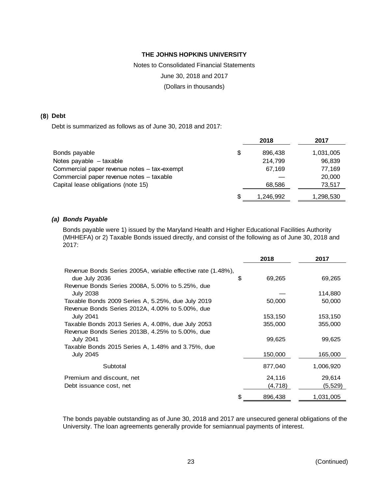Notes to Consolidated Financial Statements

June 30, 2018 and 2017

(Dollars in thousands)

#### **Debt**

Debt is summarized as follows as of June 30, 2018 and 2017:

|                                             |    | 2018      | 2017      |
|---------------------------------------------|----|-----------|-----------|
| Bonds payable                               | \$ | 896,438   | 1,031,005 |
| Notes payable - taxable                     |    | 214,799   | 96,839    |
| Commercial paper revenue notes - tax-exempt |    | 67,169    | 77,169    |
| Commercial paper revenue notes - taxable    |    |           | 20,000    |
| Capital lease obligations (note 15)         |    | 68,586    | 73,517    |
|                                             | S. | 1.246.992 | 1,298,530 |

## *(a) Bonds Payable*

Bonds payable were 1) issued by the Maryland Health and Higher Educational Facilities Authority (MHHEFA) or 2) Taxable Bonds issued directly, and consist of the following as of June 30, 2018 and 2017:

|                                                                               |    | 2018    | 2017              |
|-------------------------------------------------------------------------------|----|---------|-------------------|
| Revenue Bonds Series 2005A, variable effective rate (1.48%),<br>due July 2036 | \$ | 69,265  | 69,265            |
| Revenue Bonds Series 2008A, 5.00% to 5.25%, due                               |    |         |                   |
| <b>July 2038</b><br>Taxable Bonds 2009 Series A, 5.25%, due July 2019         |    | 50,000  | 114,880<br>50,000 |
| Revenue Bonds Series 2012A, 4.00% to 5.00%, due                               |    |         |                   |
| <b>July 2041</b>                                                              |    | 153,150 | 153,150           |
| Taxable Bonds 2013 Series A, 4.08%, due July 2053                             |    | 355,000 | 355,000           |
| Revenue Bonds Series 2013B, 4.25% to 5.00%, due<br><b>July 2041</b>           |    | 99,625  | 99,625            |
| Taxable Bonds 2015 Series A, 1.48% and 3.75%, due                             |    |         |                   |
| <b>July 2045</b>                                                              |    | 150,000 | 165,000           |
| Subtotal                                                                      |    | 877,040 | 1,006,920         |
| Premium and discount, net                                                     |    | 24,116  | 29,614            |
| Debt issuance cost, net                                                       |    | (4,718) | (5, 529)          |
|                                                                               | S. | 896,438 | 1,031,005         |

The bonds payable outstanding as of June 30, 2018 and 2017 are unsecured general obligations of the University. The loan agreements generally provide for semiannual payments of interest.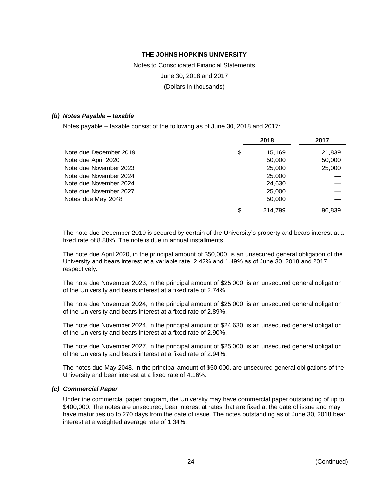Notes to Consolidated Financial Statements

June 30, 2018 and 2017

(Dollars in thousands)

#### *(b) Notes Payable – taxable*

Notes payable – taxable consist of the following as of June 30, 2018 and 2017:

|                        | 2018          | 2017   |
|------------------------|---------------|--------|
| Note due December 2019 | \$<br>15,169  | 21,839 |
| Note due April 2020    | 50,000        | 50,000 |
| Note due November 2023 | 25,000        | 25,000 |
| Note due November 2024 | 25,000        |        |
| Note due November 2024 | 24,630        |        |
| Note due November 2027 | 25,000        |        |
| Notes due May 2048     | 50,000        |        |
|                        | \$<br>214,799 | 96,839 |

The note due December 2019 is secured by certain of the University's property and bears interest at a fixed rate of 8.88%. The note is due in annual installments.

The note due April 2020, in the principal amount of \$50,000, is an unsecured general obligation of the University and bears interest at a variable rate, 2.42% and 1.49% as of June 30, 2018 and 2017, respectively.

The note due November 2023, in the principal amount of \$25,000, is an unsecured general obligation of the University and bears interest at a fixed rate of 2.74%.

The note due November 2024, in the principal amount of \$25,000, is an unsecured general obligation of the University and bears interest at a fixed rate of 2.89%.

The note due November 2024, in the principal amount of \$24,630, is an unsecured general obligation of the University and bears interest at a fixed rate of 2.90%.

The note due November 2027, in the principal amount of \$25,000, is an unsecured general obligation of the University and bears interest at a fixed rate of 2.94%.

The notes due May 2048, in the principal amount of \$50,000, are unsecured general obligations of the University and bear interest at a fixed rate of 4.16%.

#### *(c) Commercial Paper*

Under the commercial paper program, the University may have commercial paper outstanding of up to \$400,000. The notes are unsecured, bear interest at rates that are fixed at the date of issue and may have maturities up to 270 days from the date of issue. The notes outstanding as of June 30, 2018 bear interest at a weighted average rate of 1.34%.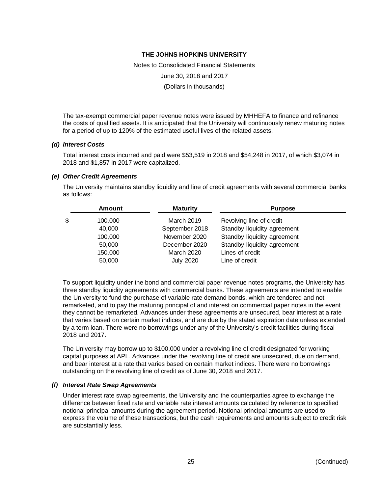Notes to Consolidated Financial Statements

June 30, 2018 and 2017

(Dollars in thousands)

The tax-exempt commercial paper revenue notes were issued by MHHEFA to finance and refinance the costs of qualified assets. It is anticipated that the University will continuously renew maturing notes for a period of up to 120% of the estimated useful lives of the related assets.

#### *(d) Interest Costs*

Total interest costs incurred and paid were \$53,519 in 2018 and \$54,248 in 2017, of which \$3,074 in 2018 and \$1,857 in 2017 were capitalized.

## *(e) Other Credit Agreements*

The University maintains standby liquidity and line of credit agreements with several commercial banks as follows:

| <b>Amount</b> | <b>Maturity</b>   | <b>Purpose</b>              |  |
|---------------|-------------------|-----------------------------|--|
| \$<br>100,000 | <b>March 2019</b> | Revolving line of credit    |  |
| 40,000        | September 2018    | Standby liquidity agreement |  |
| 100,000       | November 2020     | Standby liquidity agreement |  |
| 50,000        | December 2020     | Standby liquidity agreement |  |
| 150,000       | <b>March 2020</b> | Lines of credit             |  |
| 50,000        | <b>July 2020</b>  | Line of credit              |  |

To support liquidity under the bond and commercial paper revenue notes programs, the University has three standby liquidity agreements with commercial banks. These agreements are intended to enable the University to fund the purchase of variable rate demand bonds, which are tendered and not remarketed, and to pay the maturing principal of and interest on commercial paper notes in the event they cannot be remarketed. Advances under these agreements are unsecured, bear interest at a rate that varies based on certain market indices, and are due by the stated expiration date unless extended by a term loan. There were no borrowings under any of the University's credit facilities during fiscal 2018 and 2017.

The University may borrow up to \$100,000 under a revolving line of credit designated for working capital purposes at APL. Advances under the revolving line of credit are unsecured, due on demand, and bear interest at a rate that varies based on certain market indices. There were no borrowings outstanding on the revolving line of credit as of June 30, 2018 and 2017.

## *(f) Interest Rate Swap Agreements*

Under interest rate swap agreements, the University and the counterparties agree to exchange the difference between fixed rate and variable rate interest amounts calculated by reference to specified notional principal amounts during the agreement period. Notional principal amounts are used to express the volume of these transactions, but the cash requirements and amounts subject to credit risk are substantially less.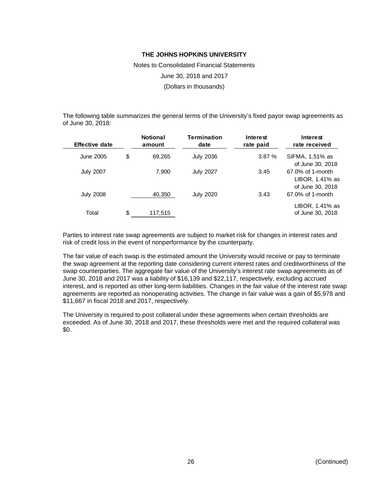Notes to Consolidated Financial Statements June 30, 2018 and 2017 (Dollars in thousands)

The following table summarizes the general terms of the University's fixed payor swap agreements as of June 30, 2018:

| <b>Effective date</b> | <b>Notional</b><br>amount | Termination<br>date | <b>Interest</b><br>rate paid | Interest<br>rate received                               |
|-----------------------|---------------------------|---------------------|------------------------------|---------------------------------------------------------|
| June 2005             | \$<br>69,265              | <b>July 2036</b>    | 3.87%                        | SIFMA, 1.51% as<br>of June 30, 2018                     |
| <b>July 2007</b>      | 7.900                     | <b>July 2027</b>    | 3.45                         | 67.0% of 1-month<br>LIBOR, 1.41% as<br>of June 30, 2018 |
| <b>July 2008</b>      | 40,350                    | <b>July 2020</b>    | 3.43                         | 67.0% of 1-month                                        |
| Total                 | \$<br>117,515             |                     |                              | LIBOR, 1.41% as<br>of June 30, 2018                     |

Parties to interest rate swap agreements are subject to market risk for changes in interest rates and risk of credit loss in the event of nonperformance by the counterparty.

The fair value of each swap is the estimated amount the University would receive or pay to terminate the swap agreement at the reporting date considering current interest rates and creditworthiness of the swap counterparties. The aggregate fair value of the University's interest rate swap agreements as of June 30, 2018 and 2017 was a liability of \$16,139 and \$22,117, respectively, excluding accrued interest, and is reported as other long-term liabilities. Changes in the fair value of the interest rate swap agreements are reported as nonoperating activities. The change in fair value was a gain of \$5,978 and \$11,667 in fiscal 2018 and 2017, respectively.

The University is required to post collateral under these agreements when certain thresholds are exceeded. As of June 30, 2018 and 2017, these thresholds were met and the required collateral was \$0.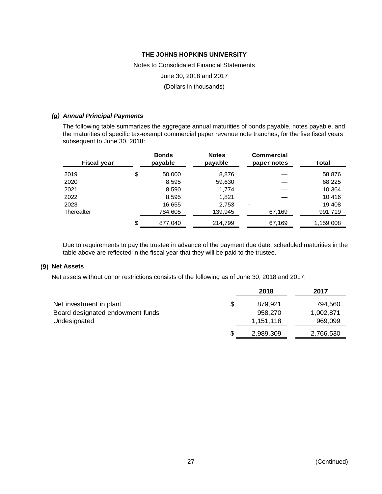Notes to Consolidated Financial Statements June 30, 2018 and 2017 (Dollars in thousands)

#### *(g) Annual Principal Payments*

The following table summarizes the aggregate annual maturities of bonds payable, notes payable, and the maturities of specific tax-exempt commercial paper revenue note tranches, for the five fiscal years subsequent to June 30, 2018:

| <b>Fiscal year</b> | <b>Bonds</b><br>payable | <b>Notes</b><br>payable | Commercial<br>paper notes | Total     |
|--------------------|-------------------------|-------------------------|---------------------------|-----------|
| 2019               | \$<br>50,000            | 8,876                   |                           | 58,876    |
| 2020               | 8,595                   | 59,630                  |                           | 68,225    |
| 2021               | 8,590                   | 1,774                   |                           | 10,364    |
| 2022               | 8,595                   | 1,821                   |                           | 10,416    |
| 2023               | 16,655                  | 2,753                   | -                         | 19,408    |
| Thereafter         | 784,605                 | 139,945                 | 67,169                    | 991,719   |
|                    | \$<br>877,040           | 214,799                 | 67,169                    | 1,159,008 |

Due to requirements to pay the trustee in advance of the payment due date, scheduled maturities in the table above are reflected in the fiscal year that they will be paid to the trustee.

## **Net Assets**

Net assets without donor restrictions consists of the following as of June 30, 2018 and 2017:

|                                  |     | 2018      | 2017      |
|----------------------------------|-----|-----------|-----------|
| Net investment in plant          | \$  | 879.921   | 794,560   |
| Board designated endowment funds |     | 958.270   | 1,002,871 |
| Undesignated                     |     | 1,151,118 | 969,099   |
|                                  | \$. | 2,989,309 | 2,766,530 |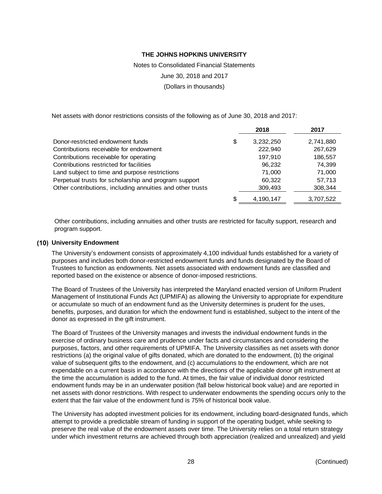Notes to Consolidated Financial Statements

June 30, 2018 and 2017

(Dollars in thousands)

Net assets with donor restrictions consists of the following as of June 30, 2018 and 2017:

|                                                           | 2018            | 2017      |
|-----------------------------------------------------------|-----------------|-----------|
| Donor-restricted endowment funds                          | \$<br>3,232,250 | 2,741,880 |
| Contributions receivable for endowment                    | 222.940         | 267,629   |
| Contributions receivable for operating                    | 197,910         | 186,557   |
| Contributions restricted for facilities                   | 96,232          | 74.399    |
| Land subject to time and purpose restrictions             | 71.000          | 71,000    |
| Perpetual trusts for scholarship and program support      | 60,322          | 57,713    |
| Other contributions, including annuities and other trusts | 309,493         | 308,344   |
|                                                           | \$<br>4,190,147 | 3,707,522 |

Other contributions, including annuities and other trusts are restricted for faculty support, research and program support.

#### **University Endowment**

The University's endowment consists of approximately 4,100 individual funds established for a variety of purposes and includes both donor-restricted endowment funds and funds designated by the Board of Trustees to function as endowments. Net assets associated with endowment funds are classified and reported based on the existence or absence of donor-imposed restrictions.

The Board of Trustees of the University has interpreted the Maryland enacted version of Uniform Prudent Management of Institutional Funds Act (UPMIFA) as allowing the University to appropriate for expenditure or accumulate so much of an endowment fund as the University determines is prudent for the uses, benefits, purposes, and duration for which the endowment fund is established, subject to the intent of the donor as expressed in the gift instrument.

The Board of Trustees of the University manages and invests the individual endowment funds in the exercise of ordinary business care and prudence under facts and circumstances and considering the purposes, factors, and other requirements of UPMIFA. The University classifies as net assets with donor restrictions (a) the original value of gifts donated, which are donated to the endowment, (b) the original value of subsequent gifts to the endowment, and (c) accumulations to the endowment, which are not expendable on a current basis in accordance with the directions of the applicable donor gift instrument at the time the accumulation is added to the fund. At times, the fair value of individual donor restricted endowment funds may be in an underwater position (fall below historical book value) and are reported in net assets with donor restrictions. With respect to underwater endowments the spending occurs only to the extent that the fair value of the endowment fund is 75% of historical book value.

The University has adopted investment policies for its endowment, including board-designated funds, which attempt to provide a predictable stream of funding in support of the operating budget, while seeking to preserve the real value of the endowment assets over time. The University relies on a total return strategy under which investment returns are achieved through both appreciation (realized and unrealized) and yield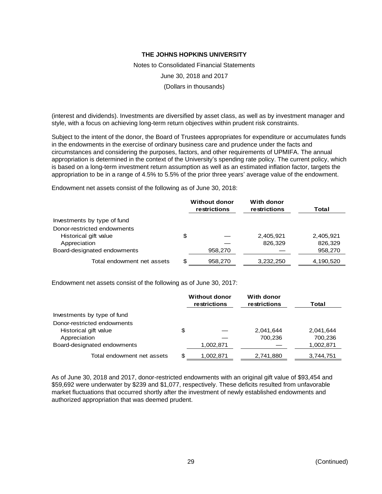Notes to Consolidated Financial Statements June 30, 2018 and 2017 (Dollars in thousands)

(interest and dividends). Investments are diversified by asset class, as well as by investment manager and style, with a focus on achieving long-term return objectives within prudent risk constraints.

Subject to the intent of the donor, the Board of Trustees appropriates for expenditure or accumulates funds in the endowments in the exercise of ordinary business care and prudence under the facts and circumstances and considering the purposes, factors, and other requirements of UPMIFA. The annual appropriation is determined in the context of the University's spending rate policy. The current policy, which is based on a long-term investment return assumption as well as an estimated inflation factor, targets the appropriation to be in a range of 4.5% to 5.5% of the prior three years' average value of the endowment.

Endowment net assets consist of the following as of June 30, 2018:

|                             | <b>Without donor</b><br>restrictions | With donor<br>restrictions | Total     |
|-----------------------------|--------------------------------------|----------------------------|-----------|
| Investments by type of fund |                                      |                            |           |
| Donor-restricted endowments |                                      |                            |           |
| Historical gift value       | \$                                   | 2,405,921                  | 2,405,921 |
| Appreciation                |                                      | 826,329                    | 826,329   |
| Board-designated endowments | 958,270                              |                            | 958,270   |
| Total endowment net assets  | \$<br>958,270                        | 3,232,250                  | 4,190,520 |

Endowment net assets consist of the following as of June 30, 2017:

|                             | <b>Without donor</b><br>restrictions | With donor<br>restrictions | Total     |
|-----------------------------|--------------------------------------|----------------------------|-----------|
| Investments by type of fund |                                      |                            |           |
| Donor-restricted endowments |                                      |                            |           |
| Historical gift value       | \$                                   | 2,041,644                  | 2,041,644 |
| Appreciation                |                                      | 700.236                    | 700,236   |
| Board-designated endowments | 1,002,871                            |                            | 1,002,871 |
| Total endowment net assets  | \$<br>1,002,871                      | 2,741,880                  | 3,744,751 |

As of June 30, 2018 and 2017, donor-restricted endowments with an original gift value of \$93,454 and \$59,692 were underwater by \$239 and \$1,077, respectively. These deficits resulted from unfavorable market fluctuations that occurred shortly after the investment of newly established endowments and authorized appropriation that was deemed prudent.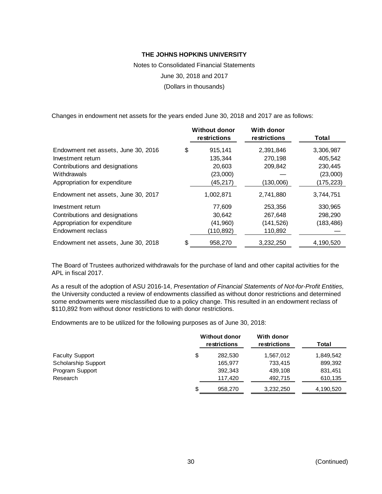Notes to Consolidated Financial Statements June 30, 2018 and 2017

(Dollars in thousands)

Changes in endowment net assets for the years ended June 30, 2018 and 2017 are as follows:

|                                     | <b>Without donor</b><br>restrictions | With donor<br>restrictions | Total      |
|-------------------------------------|--------------------------------------|----------------------------|------------|
| Endowment net assets, June 30, 2016 | \$<br>915.141                        | 2,391,846                  | 3,306,987  |
| Investment return                   | 135,344                              | 270,198                    | 405,542    |
| Contributions and designations      | 20,603                               | 209,842                    | 230,445    |
| Withdrawals                         | (23,000)                             |                            | (23,000)   |
| Appropriation for expenditure       | (45, 217)                            | (130,006)                  | (175,223)  |
| Endowment net assets, June 30, 2017 | 1,002,871                            | 2,741,880                  | 3,744,751  |
| Investment return                   | 77,609                               | 253,356                    | 330,965    |
| Contributions and designations      | 30,642                               | 267,648                    | 298,290    |
| Appropriation for expenditure       | (41,960)                             | (141,526)                  | (183, 486) |
| Endowment reclass                   | (110,892)                            | 110,892                    |            |
| Endowment net assets, June 30, 2018 | \$<br>958,270                        | 3,232,250                  | 4,190,520  |

The Board of Trustees authorized withdrawals for the purchase of land and other capital activities for the APL in fiscal 2017.

As a result of the adoption of ASU 2016-14, *Presentation of Financial Statements of Not-for-Profit Entities,*  the University conducted a review of endowments classified as without donor restrictions and determined some endowments were misclassified due to a policy change. This resulted in an endowment reclass of \$110,892 from without donor restrictions to with donor restrictions.

Endowments are to be utilized for the following purposes as of June 30, 2018:

|                        |    | <b>Without donor</b><br>restrictions | With donor<br>restrictions | Total     |
|------------------------|----|--------------------------------------|----------------------------|-----------|
| <b>Faculty Support</b> | \$ | 282,530                              | 1,567,012                  | 1,849,542 |
| Scholarship Support    |    | 165.977                              | 733,415                    | 899,392   |
| Program Support        |    | 392,343                              | 439,108                    | 831,451   |
| Research               |    | 117,420                              | 492,715                    | 610,135   |
|                        | S  | 958.270                              | 3.232.250                  | 4,190,520 |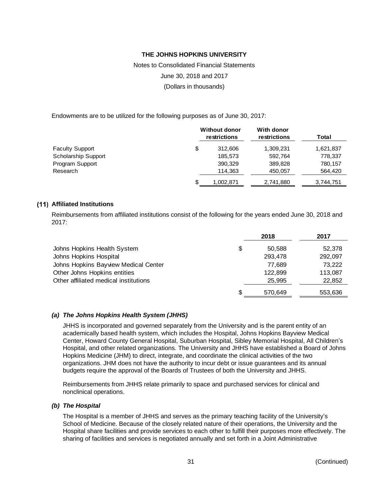Notes to Consolidated Financial Statements

June 30, 2018 and 2017

(Dollars in thousands)

Endowments are to be utilized for the following purposes as of June 30, 2017:

|                        | <b>Without donor</b><br>restrictions | With donor<br>restrictions | Total     |
|------------------------|--------------------------------------|----------------------------|-----------|
| <b>Faculty Support</b> | \$<br>312,606                        | 1,309,231                  | 1,621,837 |
| Scholarship Support    | 185.573                              | 592.764                    | 778,337   |
| Program Support        | 390,329                              | 389,828                    | 780,157   |
| Research               | 114,363                              | 450,057                    | 564,420   |
|                        | \$<br>1,002,871                      | 2,741,880                  | 3,744,751 |

## **Affiliated Institutions**

Reimbursements from affiliated institutions consist of the following for the years ended June 30, 2018 and 2017:

|                                       |    | 2018    | 2017    |
|---------------------------------------|----|---------|---------|
| Johns Hopkins Health System           | \$ | 50.588  | 52,378  |
| Johns Hopkins Hospital                |    | 293,478 | 292,097 |
| Johns Hopkins Bayview Medical Center  |    | 77.689  | 73,222  |
| Other Johns Hopkins entities          |    | 122.899 | 113,087 |
| Other affiliated medical institutions |    | 25,995  | 22,852  |
|                                       | S  | 570.649 | 553,636 |

#### *(a) The Johns Hopkins Health System (JHHS)*

JHHS is incorporated and governed separately from the University and is the parent entity of an academically based health system, which includes the Hospital, Johns Hopkins Bayview Medical Center, Howard County General Hospital, Suburban Hospital, Sibley Memorial Hospital, All Children's Hospital, and other related organizations. The University and JHHS have established a Board of Johns Hopkins Medicine (JHM) to direct, integrate, and coordinate the clinical activities of the two organizations. JHM does not have the authority to incur debt or issue guarantees and its annual budgets require the approval of the Boards of Trustees of both the University and JHHS.

Reimbursements from JHHS relate primarily to space and purchased services for clinical and nonclinical operations.

#### *(b) The Hospital*

The Hospital is a member of JHHS and serves as the primary teaching facility of the University's School of Medicine. Because of the closely related nature of their operations, the University and the Hospital share facilities and provide services to each other to fulfill their purposes more effectively. The sharing of facilities and services is negotiated annually and set forth in a Joint Administrative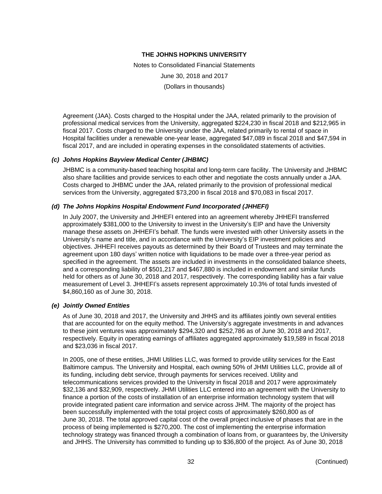Notes to Consolidated Financial Statements June 30, 2018 and 2017 (Dollars in thousands)

Agreement (JAA). Costs charged to the Hospital under the JAA, related primarily to the provision of professional medical services from the University, aggregated \$224,230 in fiscal 2018 and \$212,965 in fiscal 2017. Costs charged to the University under the JAA, related primarily to rental of space in Hospital facilities under a renewable one-year lease, aggregated \$47,089 in fiscal 2018 and \$47,594 in fiscal 2017, and are included in operating expenses in the consolidated statements of activities.

## *(c) Johns Hopkins Bayview Medical Center (JHBMC)*

JHBMC is a community-based teaching hospital and long-term care facility. The University and JHBMC also share facilities and provide services to each other and negotiate the costs annually under a JAA. Costs charged to JHBMC under the JAA, related primarily to the provision of professional medical services from the University, aggregated \$73,200 in fiscal 2018 and \$70,083 in fiscal 2017.

## *(d) The Johns Hopkins Hospital Endowment Fund Incorporated (JHHEFI)*

In July 2007, the University and JHHEFI entered into an agreement whereby JHHEFI transferred approximately \$381,000 to the University to invest in the University's EIP and have the University manage these assets on JHHEFI's behalf. The funds were invested with other University assets in the University's name and title, and in accordance with the University's EIP investment policies and objectives. JHHEFI receives payouts as determined by their Board of Trustees and may terminate the agreement upon 180 days' written notice with liquidations to be made over a three-year period as specified in the agreement. The assets are included in investments in the consolidated balance sheets, and a corresponding liability of \$501,217 and \$467,880 is included in endowment and similar funds held for others as of June 30, 2018 and 2017, respectively. The corresponding liability has a fair value measurement of Level 3. JHHEFI's assets represent approximately 10.3% of total funds invested of \$4,860,160 as of June 30, 2018.

## *(e) Jointly Owned Entities*

As of June 30, 2018 and 2017, the University and JHHS and its affiliates jointly own several entities that are accounted for on the equity method. The University's aggregate investments in and advances to these joint ventures was approximately \$294,320 and \$252,786 as of June 30, 2018 and 2017, respectively. Equity in operating earnings of affiliates aggregated approximately \$19,589 in fiscal 2018 and \$23,036 in fiscal 2017.

In 2005, one of these entities, JHMI Utilities LLC, was formed to provide utility services for the East Baltimore campus. The University and Hospital, each owning 50% of JHMI Utilities LLC, provide all of its funding, including debt service, through payments for services received. Utility and telecommunications services provided to the University in fiscal 2018 and 2017 were approximately \$32,136 and \$32,909, respectively. JHMI Utilities LLC entered into an agreement with the University to finance a portion of the costs of installation of an enterprise information technology system that will provide integrated patient care information and service across JHM. The majority of the project has been successfully implemented with the total project costs of approximately \$260,800 as of June 30, 2018. The total approved capital cost of the overall project inclusive of phases that are in the process of being implemented is \$270,200. The cost of implementing the enterprise information technology strategy was financed through a combination of loans from, or guarantees by, the University and JHHS. The University has committed to funding up to \$36,800 of the project. As of June 30, 2018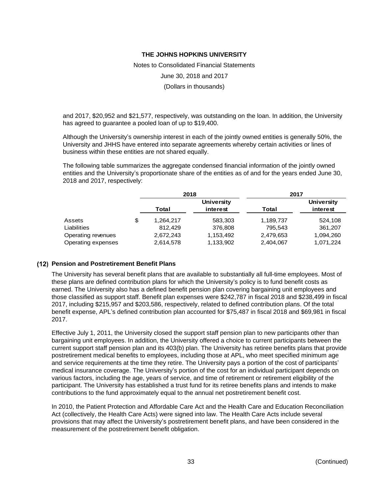Notes to Consolidated Financial Statements June 30, 2018 and 2017 (Dollars in thousands)

and 2017, \$20,952 and \$21,577, respectively, was outstanding on the loan. In addition, the University has agreed to guarantee a pooled loan of up to \$19,400.

Although the University's ownership interest in each of the jointly owned entities is generally 50%, the University and JHHS have entered into separate agreements whereby certain activities or lines of business within these entities are not shared equally.

The following table summarizes the aggregate condensed financial information of the jointly owned entities and the University's proportionate share of the entities as of and for the years ended June 30, 2018 and 2017, respectively:

|                    | 2018            |                               | 2017      |                               |  |
|--------------------|-----------------|-------------------------------|-----------|-------------------------------|--|
|                    | Total           | <b>University</b><br>interest | Total     | <b>University</b><br>interest |  |
| Assets             | \$<br>1,264,217 | 583,303                       | 1,189,737 | 524,108                       |  |
| Liabilities        | 812,429         | 376,808                       | 795.543   | 361,207                       |  |
| Operating revenues | 2,672,243       | 1,153,492                     | 2,479,653 | 1,094,260                     |  |
| Operating expenses | 2,614,578       | 1,133,902                     | 2,404,067 | 1,071,224                     |  |

## **Pension and Postretirement Benefit Plans**

The University has several benefit plans that are available to substantially all full-time employees. Most of these plans are defined contribution plans for which the University's policy is to fund benefit costs as earned. The University also has a defined benefit pension plan covering bargaining unit employees and those classified as support staff. Benefit plan expenses were \$242,787 in fiscal 2018 and \$238,499 in fiscal 2017, including \$215,957 and \$203,586, respectively, related to defined contribution plans. Of the total benefit expense, APL's defined contribution plan accounted for \$75,487 in fiscal 2018 and \$69,981 in fiscal 2017.

Effective July 1, 2011, the University closed the support staff pension plan to new participants other than bargaining unit employees. In addition, the University offered a choice to current participants between the current support staff pension plan and its 403(b) plan. The University has retiree benefits plans that provide postretirement medical benefits to employees, including those at APL, who meet specified minimum age and service requirements at the time they retire. The University pays a portion of the cost of participants' medical insurance coverage. The University's portion of the cost for an individual participant depends on various factors, including the age, years of service, and time of retirement or retirement eligibility of the participant. The University has established a trust fund for its retiree benefits plans and intends to make contributions to the fund approximately equal to the annual net postretirement benefit cost.

In 2010, the Patient Protection and Affordable Care Act and the Health Care and Education Reconciliation Act (collectively, the Health Care Acts) were signed into law. The Health Care Acts include several provisions that may affect the University's postretirement benefit plans, and have been considered in the measurement of the postretirement benefit obligation.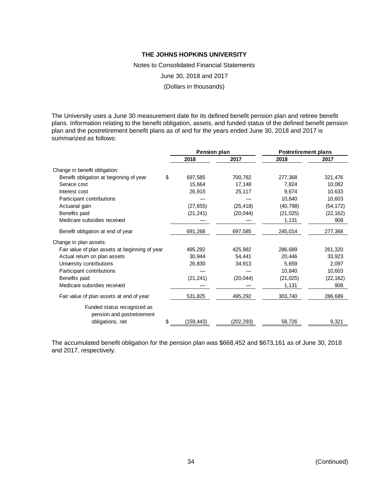Notes to Consolidated Financial Statements

June 30, 2018 and 2017

(Dollars in thousands)

The University uses a June 30 measurement date for its defined benefit pension plan and retiree benefit plans. Information relating to the benefit obligation, assets, and funded status of the defined benefit pension plan and the postretirement benefit plans as of and for the years ended June 30, 2018 and 2017 is summarized as follows:

|                                                           | Pension plan  |            | <b>Postretirement plans</b> |           |  |
|-----------------------------------------------------------|---------------|------------|-----------------------------|-----------|--|
|                                                           | 2018          | 2017       | 2018                        | 2017      |  |
| Change in benefit obligation:                             |               |            |                             |           |  |
| Benefit obligation at beginning of year                   | \$<br>697,585 | 700,782    | 277,368                     | 321,476   |  |
| Service cost                                              | 15,664        | 17,148     | 7,824                       | 10,082    |  |
| Interest cost                                             | 26,915        | 25,117     | 9,674                       | 10,633    |  |
| Participant contributions                                 |               |            | 10,840                      | 10,603    |  |
| Actuarial gain                                            | (27, 655)     | (25, 418)  | (40, 798)                   | (54, 172) |  |
| Benefits paid                                             | (21, 241)     | (20, 044)  | (21, 025)                   | (22, 162) |  |
| Medicare subsidies received                               |               |            | 1,131                       | 908       |  |
| Benefit obligation at end of year                         | 691,268       | 697,585    | 245,014                     | 277,368   |  |
| Change in plan assets:                                    |               |            |                             |           |  |
| Fair value of plan assets at beginning of year            | 495,292       | 425,982    | 286,689                     | 261,320   |  |
| Actual return on plan assets                              | 30,944        | 54,441     | 20,446                      | 33,923    |  |
| University contributions                                  | 26,830        | 34,913     | 5,659                       | 2,097     |  |
| Participant contributions                                 |               |            | 10,840                      | 10,603    |  |
| Benefits paid                                             | (21, 241)     | (20, 044)  | (21, 025)                   | (22, 162) |  |
| Medicare subsidies received                               |               |            | 1,131                       | 908       |  |
| Fair value of plan assets at end of year                  | 531,825       | 495,292    | 303,740                     | 286,689   |  |
| Funded status recognized as<br>pension and postretirement |               |            |                             |           |  |
| obligations, net                                          | (159,443)     | (202, 293) | 58,726                      | 9,321     |  |
|                                                           |               |            |                             |           |  |

The accumulated benefit obligation for the pension plan was \$668,452 and \$673,161 as of June 30, 2018 and 2017, respectively.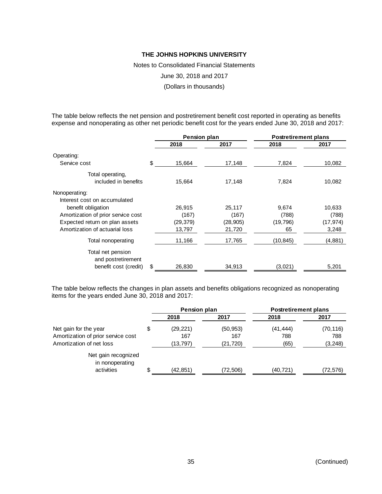Notes to Consolidated Financial Statements

June 30, 2018 and 2017

(Dollars in thousands)

The table below reflects the net pension and postretirement benefit cost reported in operating as benefits expense and nonoperating as other net periodic benefit cost for the years ended June 30, 2018 and 2017:

|                                    | Pension plan |           | <b>Postretirement plans</b> |           |  |
|------------------------------------|--------------|-----------|-----------------------------|-----------|--|
|                                    | 2018         | 2017      | 2018                        | 2017      |  |
| Operating:                         |              |           |                             |           |  |
| Service cost                       | \$<br>15,664 | 17,148    | 7,824                       | 10,082    |  |
| Total operating,                   |              |           |                             |           |  |
| included in benefits               | 15,664       | 17,148    | 7,824                       | 10,082    |  |
| Nonoperating:                      |              |           |                             |           |  |
| Interest cost on accumulated       |              |           |                             |           |  |
| benefit obligation                 | 26.915       | 25,117    | 9,674                       | 10,633    |  |
| Amortization of prior service cost | (167)        | (167)     | (788)                       | (788)     |  |
| Expected return on plan assets     | (29,379)     | (28, 905) | (19, 796)                   | (17, 974) |  |
| Amortization of actuarial loss     | 13,797       | 21,720    | 65                          | 3,248     |  |
| Total nonoperating                 | 11,166       | 17,765    | (10,845)                    | (4,881)   |  |
| Total net pension                  |              |           |                             |           |  |
| and postretirement                 |              |           |                             |           |  |
| benefit cost (credit)              | \$<br>26,830 | 34,913    | (3,021)                     | 5,201     |  |

The table below reflects the changes in plan assets and benefits obligations recognized as nonoperating items for the years ended June 30, 2018 and 2017:

|                                        |                 | Pension plan | <b>Postretirement plans</b> |          |
|----------------------------------------|-----------------|--------------|-----------------------------|----------|
|                                        | 2018            | 2017         | 2018                        | 2017     |
| Net gain for the year                  | \$<br>(29, 221) | (50, 953)    | (41, 444)                   | (70,116) |
| Amortization of prior service cost     | 167             | 167          | 788                         | 788      |
| Amortization of net loss               | (13,797)        | (21, 720)    | (65)                        | (3, 248) |
| Net gain recognized<br>in nonoperating |                 |              |                             |          |
| activities                             | \$<br>(42, 851) | (72,506)     | (40, 721)                   | (72,576) |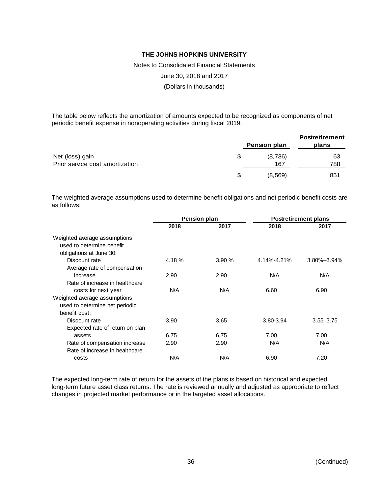Notes to Consolidated Financial Statements

June 30, 2018 and 2017

(Dollars in thousands)

The table below reflects the amortization of amounts expected to be recognized as components of net periodic benefit expense in nonoperating activities during fiscal 2019:

|                                                    |   | <b>Pension plan</b> | <b>Postretirement</b><br>plans |
|----------------------------------------------------|---|---------------------|--------------------------------|
| Net (loss) gain<br>Prior service cost amortization | S | (8,736)<br>167      | 63<br>788                      |
|                                                    |   | (8, 569)            | 851                            |

The weighted average assumptions used to determine benefit obligations and net periodic benefit costs are as follows:

|                                                                                      |        | Pension plan | <b>Postretirement plans</b> |               |  |
|--------------------------------------------------------------------------------------|--------|--------------|-----------------------------|---------------|--|
|                                                                                      | 2018   | 2017         | 2018                        | 2017          |  |
| Weighted average assumptions<br>used to determine benefit<br>obligations at June 30: |        |              |                             |               |  |
| Discount rate                                                                        | 4.18 % | 3.90%        | 4.14%-4.21%                 | 3.80%-3.94%   |  |
| Average rate of compensation                                                         |        |              |                             |               |  |
| increase                                                                             | 2.90   | 2.90         | N/A                         | N/A           |  |
| Rate of increase in healthcare                                                       |        |              |                             |               |  |
| costs for next year                                                                  | N/A    | N/A          | 6.60                        | 6.90          |  |
| Weighted average assumptions                                                         |        |              |                             |               |  |
| used to determine net periodic                                                       |        |              |                             |               |  |
| benefit cost:                                                                        |        |              |                             |               |  |
| Discount rate                                                                        | 3.90   | 3.65         | 3.80-3.94                   | $3.55 - 3.75$ |  |
| Expected rate of return on plan                                                      |        |              |                             |               |  |
| assets                                                                               | 6.75   | 6.75         | 7.00                        | 7.00          |  |
| Rate of compensation increase                                                        | 2.90   | 2.90         | N/A                         | N/A           |  |
| Rate of increase in healthcare                                                       |        |              |                             |               |  |
| costs                                                                                | N/A    | N/A          | 6.90                        | 7.20          |  |

The expected long-term rate of return for the assets of the plans is based on historical and expected long-term future asset class returns. The rate is reviewed annually and adjusted as appropriate to reflect changes in projected market performance or in the targeted asset allocations.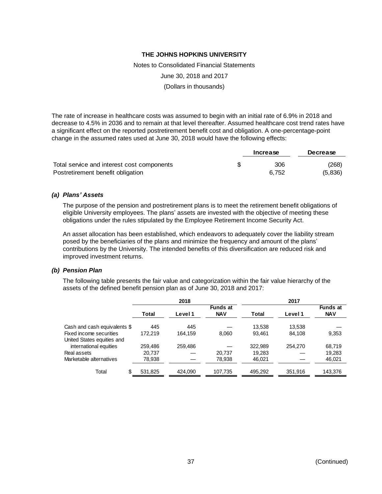Notes to Consolidated Financial Statements June 30, 2018 and 2017 (Dollars in thousands)

The rate of increase in healthcare costs was assumed to begin with an initial rate of 6.9% in 2018 and decrease to 4.5% in 2036 and to remain at that level thereafter. Assumed healthcare cost trend rates have a significant effect on the reported postretirement benefit cost and obligation. A one-percentage-point change in the assumed rates used at June 30, 2018 would have the following effects:

|                                            | Increase | Decrease |
|--------------------------------------------|----------|----------|
| Total service and interest cost components | 306      | (268)    |
| Postretirement benefit obligation          | 6.752    | (5,836)  |

#### *(a) Plans' Assets*

The purpose of the pension and postretirement plans is to meet the retirement benefit obligations of eligible University employees. The plans' assets are invested with the objective of meeting these obligations under the rules stipulated by the Employee Retirement Income Security Act.

An asset allocation has been established, which endeavors to adequately cover the liability stream posed by the beneficiaries of the plans and minimize the frequency and amount of the plans' contributions by the University. The intended benefits of this diversification are reduced risk and improved investment returns.

#### *(b) Pension Plan*

The following table presents the fair value and categorization within the fair value hierarchy of the assets of the defined benefit pension plan as of June 30, 2018 and 2017:

|                              | 2018    |         |                 | 2017    |         |            |  |
|------------------------------|---------|---------|-----------------|---------|---------|------------|--|
|                              |         |         | <b>Funds at</b> |         |         |            |  |
|                              | Total   | Level 1 | <b>NAV</b>      | Total   | Level 1 | <b>NAV</b> |  |
| Cash and cash equivalents \$ | 445     | 445     |                 | 13.538  | 13,538  |            |  |
| Fixed income securities      | 172.219 | 164.159 | 8.060           | 93.461  | 84,108  | 9,353      |  |
| United States equities and   |         |         |                 |         |         |            |  |
| international equities       | 259,486 | 259.486 |                 | 322,989 | 254,270 | 68,719     |  |
| Real assets                  | 20.737  |         | 20.737          | 19.283  |         | 19,283     |  |
| Marketable alternatives      | 78,938  |         | 78,938          | 46,021  |         | 46,021     |  |
| Total                        | 531,825 | 424,090 | 107,735         | 495,292 | 351,916 | 143,376    |  |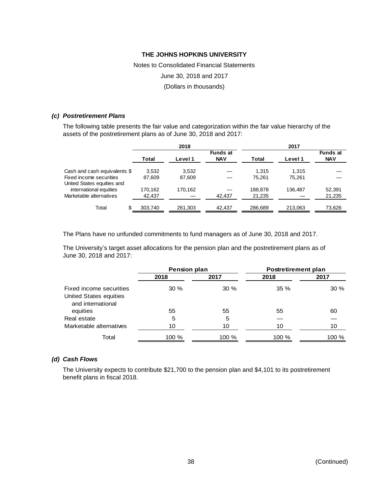# Notes to Consolidated Financial Statements

June 30, 2018 and 2017

(Dollars in thousands)

#### *(c) Postretirement Plans*

The following table presents the fair value and categorization within the fair value hierarchy of the assets of the postretirement plans as of June 30, 2018 and 2017:

|                              | 2018    |         |                 | 2017    |                 |            |  |
|------------------------------|---------|---------|-----------------|---------|-----------------|------------|--|
|                              |         |         | <b>Funds at</b> |         | <b>Funds at</b> |            |  |
|                              | Total   | Level 1 | <b>NAV</b>      | Total   | Level 1         | <b>NAV</b> |  |
| Cash and cash equivalents \$ | 3.532   | 3,532   |                 | 1.315   | 1.315           |            |  |
| Fixed income securities      | 87.609  | 87.609  |                 | 75.261  | 75.261          |            |  |
| United States equities and   |         |         |                 |         |                 |            |  |
| international equities       | 170.162 | 170.162 |                 | 188.878 | 136.487         | 52,391     |  |
| Marketable alternatives      | 42,437  |         | 42,437          | 21,235  |                 | 21,235     |  |
| Total                        | 303.740 | 261.303 | 42.437          | 286.689 | 213.063         | 73.626     |  |

The Plans have no unfunded commitments to fund managers as of June 30, 2018 and 2017.

The University's target asset allocations for the pension plan and the postretirement plans as of June 30, 2018 and 2017:

|                                                    | Pension plan |       | <b>Postretirement plan</b> |       |  |  |
|----------------------------------------------------|--------------|-------|----------------------------|-------|--|--|
|                                                    | 2018         | 2017  | 2018                       | 2017  |  |  |
| Fixed income securities                            | 30%          | 30%   | 35%                        | 30%   |  |  |
| <b>United States equities</b><br>and international |              |       |                            |       |  |  |
| equities                                           | 55           | 55    | 55                         | 60    |  |  |
| Real estate                                        | 5            | 5     |                            |       |  |  |
| Marketable alternatives                            | 10           | 10    | 10                         | 10    |  |  |
| Total                                              | 100 %        | 100 % | 100 %                      | 100 % |  |  |

#### *(d) Cash Flows*

The University expects to contribute \$21,700 to the pension plan and \$4,101 to its postretirement benefit plans in fiscal 2018.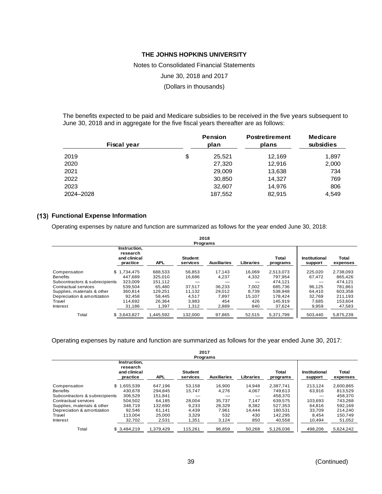Notes to Consolidated Financial Statements

June 30, 2018 and 2017

(Dollars in thousands)

The benefits expected to be paid and Medicare subsidies to be received in the five years subsequent to June 30, 2018 and in aggregate for the five fiscal years thereafter are as follows:

| <b>Fiscal year</b> | <b>Pension</b><br>plan | <b>Postretirement</b><br>plans | <b>Medicare</b><br>subsidies |
|--------------------|------------------------|--------------------------------|------------------------------|
| 2019               | \$<br>25.521           | 12,169                         | 1,897                        |
| 2020               | 27,320                 | 12.916                         | 2,000                        |
| 2021               | 29,009                 | 13,638                         | 734                          |
| 2022               | 30,850                 | 14,327                         | 769                          |
| 2023               | 32,607                 | 14.976                         | 806                          |
| 2024-2028          | 187,552                | 82,915                         | 4,549                        |

## **Functional Expense Information**

Operating expenses by nature and function are summarized as follows for the year ended June 30, 2018:

| 2018<br><b>Programs</b>        |                                                      |            |                            |                    |           |                   |                                 |                   |
|--------------------------------|------------------------------------------------------|------------|----------------------------|--------------------|-----------|-------------------|---------------------------------|-------------------|
|                                | Instruction,<br>research<br>and clinical<br>practice | <b>APL</b> | <b>Student</b><br>services | <b>Auxiliaries</b> | Libraries | Total<br>programs | <b>Institutional</b><br>support | Total<br>expenses |
| Compensation                   | \$1,734,475                                          | 688.533    | 56.853                     | 17.143             | 16.069    | 2.513.073         | 225.020                         | 2,738,093         |
| <b>Benefits</b>                | 447.689                                              | 325.010    | 16,686                     | 4,237              | 4,332     | 797.954           | 67.472                          | 865,426           |
| Subcontractors & subrecipients | 323.009                                              | 151,112    |                            |                    |           | 474.121           |                                 | 474.121           |
| Contractual services           | 539.504                                              | 65.480     | 37.517                     | 36.233             | 7.002     | 685.736           | 96.125                          | 781.861           |
| Supplies, materials & other    | 360.814                                              | 129.251    | 11.132                     | 29.012             | 8.739     | 538.948           | 64.410                          | 603.358           |
| Depreciation & amortization    | 92.458                                               | 58.445     | 4,517                      | 7.897              | 15.107    | 178.424           | 32.769                          | 211,193           |
| Travel                         | 114.692                                              | 26.364     | 3.983                      | 454                | 426       | 145.919           | 7.685                           | 153,604           |
| Interest                       | 31,186                                               | 1,397      | 1,312                      | 2,889              | 840       | 37,624            | 9,959                           | 47,583            |
| Total                          | \$ 3.643.827                                         | .445.592   | 132.000                    | 97.865             | 52.515    | 5.371.799         | 503.440                         | 5.875.239         |

Operating expenses by nature and function are summarized as follows for the year ended June 30, 2017:

| 2017                           |                                                      |            |                            |                                       |           |                   |                                 |                   |
|--------------------------------|------------------------------------------------------|------------|----------------------------|---------------------------------------|-----------|-------------------|---------------------------------|-------------------|
|                                | Instruction,<br>research<br>and clinical<br>practice | <b>APL</b> | <b>Student</b><br>services | <b>Programs</b><br><b>Auxiliaries</b> | Libraries | Total<br>programs | <b>Institutional</b><br>support | Total<br>expenses |
| Compensation                   | 1.655.539<br>\$                                      | 647,196    | 53.158                     | 16,900                                | 14,948    | 2,387,741         | 213.124                         | 2,600,865         |
| <b>Benefits</b>                | 430.678                                              | 294.845    | 15,747                     | 4,276                                 | 4,067     | 749.613           | 63,916                          | 813,529           |
| Subcontractors & subrecipients | 306.529                                              | 151.841    |                            |                                       | –         | 458.370           |                                 | 458.370           |
| Contractual services           | 504.502                                              | 64.185     | 28.004                     | 35.737                                | 7.147     | 639.575           | 103.693                         | 743.268           |
| Supplies, materials & other    | 348.719                                              | 132.690    | 9,233                      | 28.329                                | 8.382     | 527.353           | 64.816                          | 592.169           |
| Depreciation & amortization    | 92.546                                               | 61.141     | 4,439                      | 7.961                                 | 14.444    | 180.531           | 33.709                          | 214.240           |
| Travel                         | 113.004                                              | 25.000     | 3,329                      | 532                                   | 430       | 142.295           | 8.454                           | 150.749           |
| Interest                       | 32,702                                               | 2,531      | 1,351                      | 3,124                                 | 850       | 40,558            | 10,494                          | 51,052            |
| Total                          | \$3.484.219                                          | 1.379.429  | 115.261                    | 96.859                                | 50.268    | 5,126,036         | 498.206                         | 5.624.242         |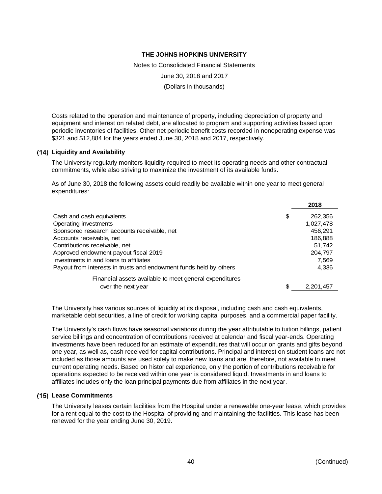Notes to Consolidated Financial Statements June 30, 2018 and 2017 (Dollars in thousands)

Costs related to the operation and maintenance of property, including depreciation of property and equipment and interest on related debt, are allocated to program and supporting activities based upon periodic inventories of facilities. Other net periodic benefit costs recorded in nonoperating expense was \$321 and \$12,884 for the years ended June 30, 2018 and 2017, respectively.

## **Liquidity and Availability**

The University regularly monitors liquidity required to meet its operating needs and other contractual commitments, while also striving to maximize the investment of its available funds.

As of June 30, 2018 the following assets could readily be available within one year to meet general expenditures:

|                                                                    | 2018          |
|--------------------------------------------------------------------|---------------|
| Cash and cash equivalents                                          | \$<br>262,356 |
| Operating investments                                              | 1,027,478     |
| Sponsored research accounts receivable, net                        | 456,291       |
| Accounts receivable, net                                           | 186,888       |
| Contributions receivable, net                                      | 51,742        |
| Approved endowment payout fiscal 2019                              | 204,797       |
| Investments in and loans to affiliates                             | 7.569         |
| Payout from interests in trusts and endowment funds held by others | 4,336         |
| Financial assets available to meet general expenditures            |               |
| over the next year                                                 | 2,201,457     |

The University has various sources of liquidity at its disposal, including cash and cash equivalents, marketable debt securities, a line of credit for working capital purposes, and a commercial paper facility.

The University's cash flows have seasonal variations during the year attributable to tuition billings, patient service billings and concentration of contributions received at calendar and fiscal year-ends. Operating investments have been reduced for an estimate of expenditures that will occur on grants and gifts beyond one year, as well as, cash received for capital contributions. Principal and interest on student loans are not included as those amounts are used solely to make new loans and are, therefore, not available to meet current operating needs. Based on historical experience, only the portion of contributions receivable for operations expected to be received within one year is considered liquid. Investments in and loans to affiliates includes only the loan principal payments due from affiliates in the next year.

#### **Lease Commitments**

The University leases certain facilities from the Hospital under a renewable one-year lease, which provides for a rent equal to the cost to the Hospital of providing and maintaining the facilities. This lease has been renewed for the year ending June 30, 2019.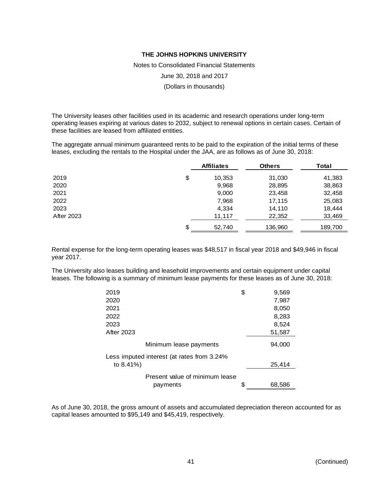Notes to Consolidated Financial Statements June 30, 2018 and 2017

(Dollars in thousands)

The University leases other facilities used in its academic and research operations under long-term operating leases expiring at various dates to 2032, subject to renewal options in certain cases. Certain of these facilities are leased from affiliated entities.

The aggregate annual minimum guaranteed rents to be paid to the expiration of the initial terms of these leases, excluding the rentals to the Hospital under the JAA, are as follows as of June 30, 2018:

|            | <b>Affiliates</b> | <b>Others</b> | <b>Total</b> |
|------------|-------------------|---------------|--------------|
| 2019       | \$<br>10,353      | 31,030        | 41,383       |
| 2020       | 9,968             | 28,895        | 38,863       |
| 2021       | 9,000             | 23,458        | 32,458       |
| 2022       | 7,968             | 17,115        | 25,083       |
| 2023       | 4,334             | 14,110        | 18,444       |
| After 2023 | 11,117            | 22,352        | 33,469       |
|            | \$<br>52,740      | 136,960       | 189,700      |

Rental expense for the long-term operating leases was \$48,517 in fiscal year 2018 and \$49,946 in fiscal year 2017.

The University also leases building and leasehold improvements and certain equipment under capital leases. The following is a summary of minimum lease payments for these leases as of June 30, 2018:

| 2019                                       | \$<br>9,569  |
|--------------------------------------------|--------------|
| 2020                                       | 7,987        |
| 2021                                       | 8,050        |
| 2022                                       | 8,283        |
| 2023                                       | 8,524        |
| After 2023                                 | 51,587       |
| Minimum lease payments                     | 94,000       |
| Less imputed interest (at rates from 3.24% |              |
| to $8.41\%$ )                              | 25,414       |
| Present value of minimum lease             |              |
| payments                                   | \$<br>68.586 |

As of June 30, 2018, the gross amount of assets and accumulated depreciation thereon accounted for as capital leases amounted to \$95,149 and \$45,419, respectively.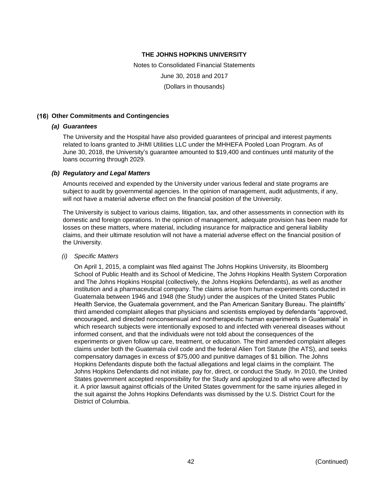Notes to Consolidated Financial Statements June 30, 2018 and 2017 (Dollars in thousands)

#### **Other Commitments and Contingencies**

#### *(a) Guarantees*

The University and the Hospital have also provided guarantees of principal and interest payments related to loans granted to JHMI Utilities LLC under the MHHEFA Pooled Loan Program. As of June 30, 2018, the University's guarantee amounted to \$19,400 and continues until maturity of the loans occurring through 2029.

#### *(b) Regulatory and Legal Matters*

Amounts received and expended by the University under various federal and state programs are subject to audit by governmental agencies. In the opinion of management, audit adjustments, if any, will not have a material adverse effect on the financial position of the University.

The University is subject to various claims, litigation, tax, and other assessments in connection with its domestic and foreign operations. In the opinion of management, adequate provision has been made for losses on these matters, where material, including insurance for malpractice and general liability claims, and their ultimate resolution will not have a material adverse effect on the financial position of the University.

#### *(i) Specific Matters*

On April 1, 2015, a complaint was filed against The Johns Hopkins University, its Bloomberg School of Public Health and its School of Medicine, The Johns Hopkins Health System Corporation and The Johns Hopkins Hospital (collectively, the Johns Hopkins Defendants), as well as another institution and a pharmaceutical company. The claims arise from human experiments conducted in Guatemala between 1946 and 1948 (the Study) under the auspices of the United States Public Health Service, the Guatemala government, and the Pan American Sanitary Bureau. The plaintiffs' third amended complaint alleges that physicians and scientists employed by defendants "approved, encouraged, and directed nonconsensual and nontherapeutic human experiments in Guatemala" in which research subjects were intentionally exposed to and infected with venereal diseases without informed consent, and that the individuals were not told about the consequences of the experiments or given follow up care, treatment, or education. The third amended complaint alleges claims under both the Guatemala civil code and the federal Alien Tort Statute (the ATS), and seeks compensatory damages in excess of \$75,000 and punitive damages of \$1 billion. The Johns Hopkins Defendants dispute both the factual allegations and legal claims in the complaint. The Johns Hopkins Defendants did not initiate, pay for, direct, or conduct the Study. In 2010, the United States government accepted responsibility for the Study and apologized to all who were affected by it. A prior lawsuit against officials of the United States government for the same injuries alleged in the suit against the Johns Hopkins Defendants was dismissed by the U.S. District Court for the District of Columbia.